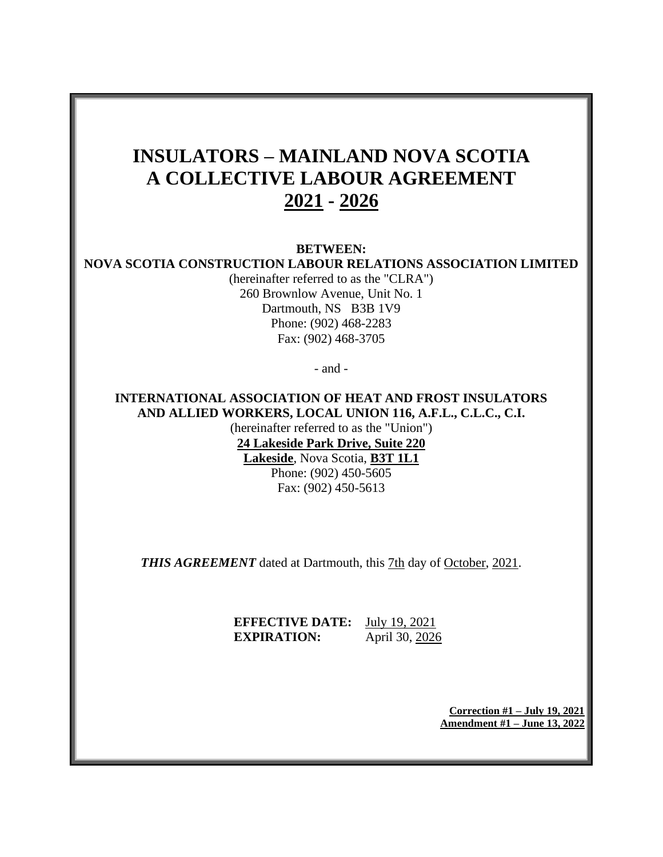# **INSULATORS – MAINLAND NOVA SCOTIA A COLLECTIVE LABOUR AGREEMENT 2021 - 2026**

**BETWEEN:**

### **NOVA SCOTIA CONSTRUCTION LABOUR RELATIONS ASSOCIATION LIMITED**

(hereinafter referred to as the "CLRA") 260 Brownlow Avenue, Unit No. 1 Dartmouth, NS B3B 1V9 Phone: (902) 468-2283 Fax: (902) 468-3705

- and -

## **INTERNATIONAL ASSOCIATION OF HEAT AND FROST INSULATORS AND ALLIED WORKERS, LOCAL UNION 116, A.F.L., C.L.C., C.I.**

(hereinafter referred to as the "Union") **24 Lakeside Park Drive, Suite 220 Lakeside**, Nova Scotia, **B3T 1L1** Phone: (902) 450-5605 Fax: (902) 450-5613

*THIS AGREEMENT* dated at Dartmouth, this 7th day of October, 2021.

**EFFECTIVE DATE:** July 19, 2021 **EXPIRATION:** April 30, 2026

> **Correction #1 – July 19, 2021 Amendment #1 – June 13, 2022**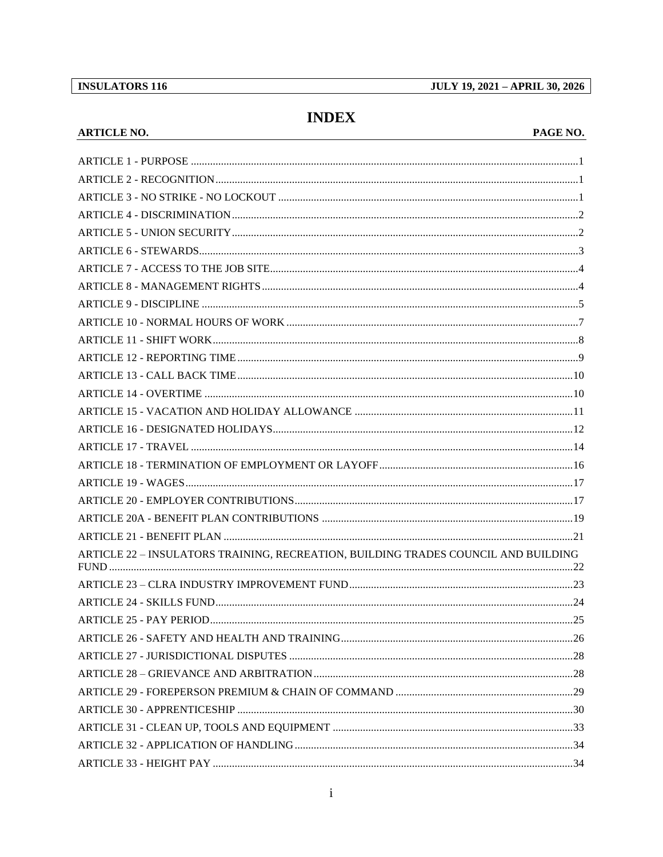## **INDEX**

#### **ARTICLE NO.**

#### PAGE NO.

| ARTICLE 22 - INSULATORS TRAINING, RECREATION, BUILDING TRADES COUNCIL AND BUILDING |  |
|------------------------------------------------------------------------------------|--|
|                                                                                    |  |
|                                                                                    |  |
|                                                                                    |  |
|                                                                                    |  |
|                                                                                    |  |
|                                                                                    |  |
|                                                                                    |  |
|                                                                                    |  |
|                                                                                    |  |
|                                                                                    |  |
|                                                                                    |  |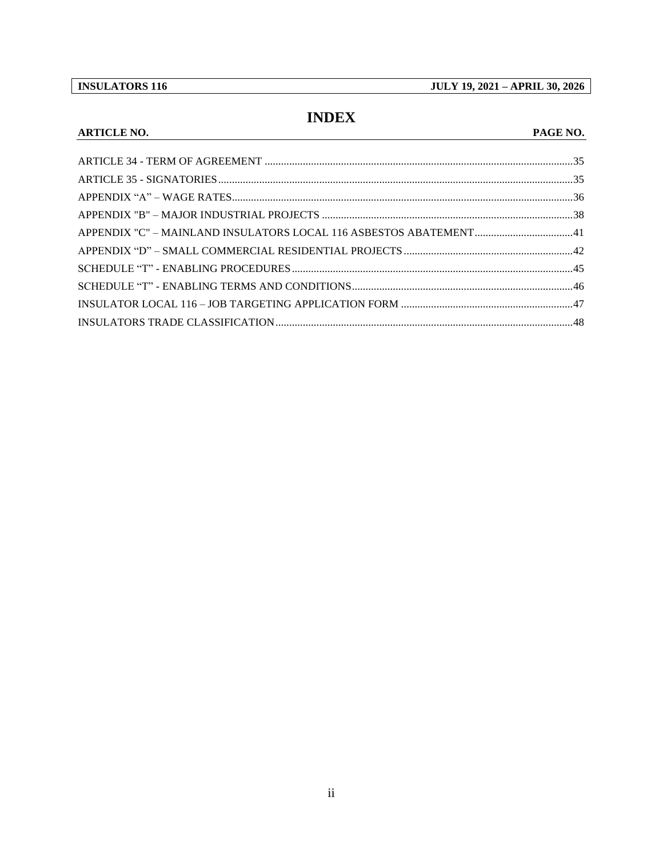**INSULATORS 116** 

**ARTICLE NO.** 

**JULY 19, 2021 - APRIL 30, 2026** 

## **INDEX**

#### PAGE NO.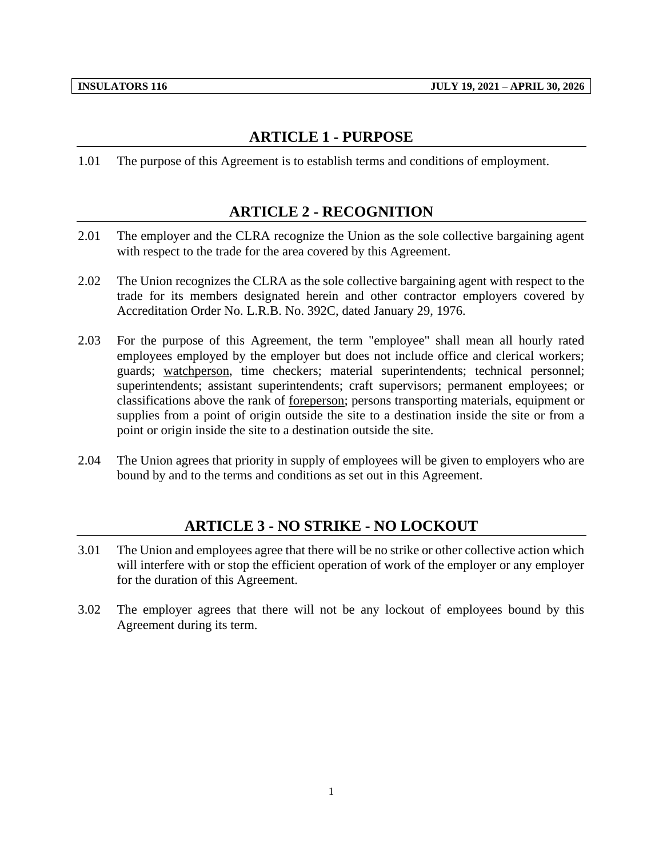## **ARTICLE 1 - PURPOSE**

<span id="page-3-1"></span><span id="page-3-0"></span>1.01 The purpose of this Agreement is to establish terms and conditions of employment.

## **ARTICLE 2 - RECOGNITION**

- 2.01 The employer and the CLRA recognize the Union as the sole collective bargaining agent with respect to the trade for the area covered by this Agreement.
- 2.02 The Union recognizes the CLRA as the sole collective bargaining agent with respect to the trade for its members designated herein and other contractor employers covered by Accreditation Order No. L.R.B. No. 392C, dated January 29, 1976.
- 2.03 For the purpose of this Agreement, the term "employee" shall mean all hourly rated employees employed by the employer but does not include office and clerical workers; guards; watchperson, time checkers; material superintendents; technical personnel; superintendents; assistant superintendents; craft supervisors; permanent employees; or classifications above the rank of foreperson; persons transporting materials, equipment or supplies from a point of origin outside the site to a destination inside the site or from a point or origin inside the site to a destination outside the site.
- <span id="page-3-2"></span>2.04 The Union agrees that priority in supply of employees will be given to employers who are bound by and to the terms and conditions as set out in this Agreement.

## **ARTICLE 3 - NO STRIKE - NO LOCKOUT**

- 3.01 The Union and employees agree that there will be no strike or other collective action which will interfere with or stop the efficient operation of work of the employer or any employer for the duration of this Agreement.
- 3.02 The employer agrees that there will not be any lockout of employees bound by this Agreement during its term.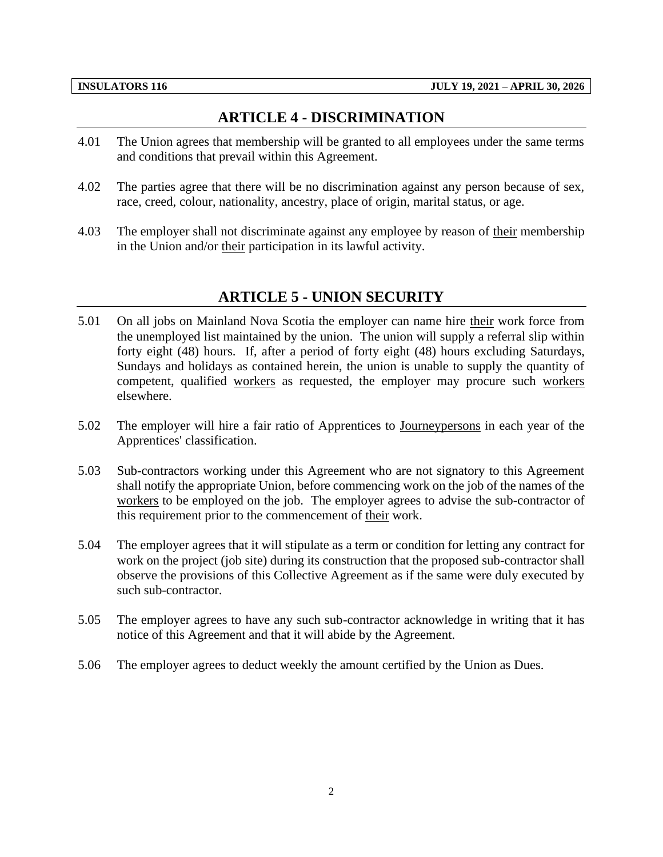## **ARTICLE 4 - DISCRIMINATION**

- <span id="page-4-0"></span>4.01 The Union agrees that membership will be granted to all employees under the same terms and conditions that prevail within this Agreement.
- 4.02 The parties agree that there will be no discrimination against any person because of sex, race, creed, colour, nationality, ancestry, place of origin, marital status, or age.
- <span id="page-4-1"></span>4.03 The employer shall not discriminate against any employee by reason of their membership in the Union and/or their participation in its lawful activity.

## **ARTICLE 5 - UNION SECURITY**

- 5.01 On all jobs on Mainland Nova Scotia the employer can name hire their work force from the unemployed list maintained by the union. The union will supply a referral slip within forty eight (48) hours. If, after a period of forty eight (48) hours excluding Saturdays, Sundays and holidays as contained herein, the union is unable to supply the quantity of competent, qualified workers as requested, the employer may procure such workers elsewhere.
- 5.02 The employer will hire a fair ratio of Apprentices to Journeypersons in each year of the Apprentices' classification.
- 5.03 Sub-contractors working under this Agreement who are not signatory to this Agreement shall notify the appropriate Union, before commencing work on the job of the names of the workers to be employed on the job. The employer agrees to advise the sub-contractor of this requirement prior to the commencement of their work.
- 5.04 The employer agrees that it will stipulate as a term or condition for letting any contract for work on the project (job site) during its construction that the proposed sub-contractor shall observe the provisions of this Collective Agreement as if the same were duly executed by such sub-contractor.
- 5.05 The employer agrees to have any such sub-contractor acknowledge in writing that it has notice of this Agreement and that it will abide by the Agreement.
- 5.06 The employer agrees to deduct weekly the amount certified by the Union as Dues.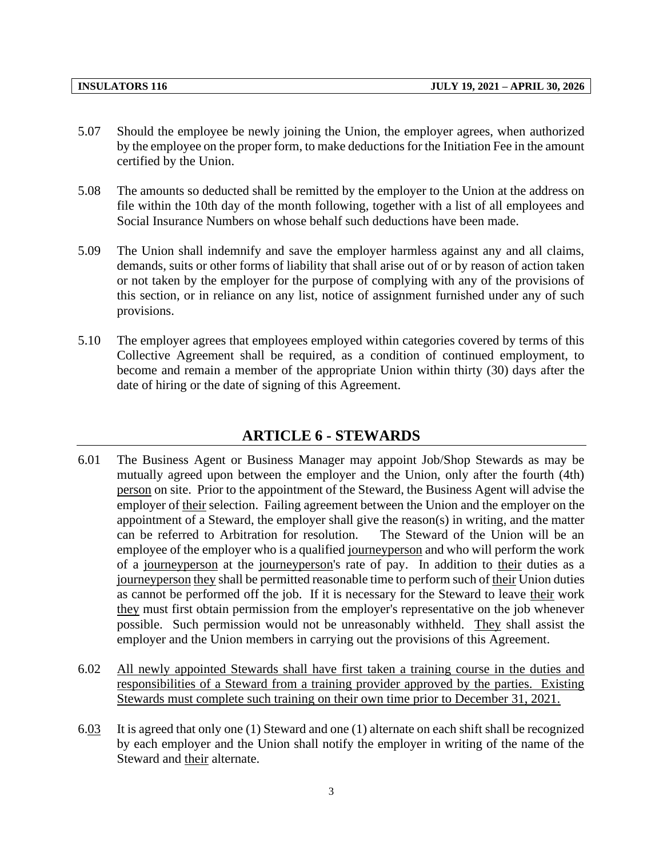- 5.07 Should the employee be newly joining the Union, the employer agrees, when authorized by the employee on the proper form, to make deductions for the Initiation Fee in the amount certified by the Union.
- 5.08 The amounts so deducted shall be remitted by the employer to the Union at the address on file within the 10th day of the month following, together with a list of all employees and Social Insurance Numbers on whose behalf such deductions have been made.
- 5.09 The Union shall indemnify and save the employer harmless against any and all claims, demands, suits or other forms of liability that shall arise out of or by reason of action taken or not taken by the employer for the purpose of complying with any of the provisions of this section, or in reliance on any list, notice of assignment furnished under any of such provisions.
- 5.10 The employer agrees that employees employed within categories covered by terms of this Collective Agreement shall be required, as a condition of continued employment, to become and remain a member of the appropriate Union within thirty (30) days after the date of hiring or the date of signing of this Agreement.

#### **ARTICLE 6 - STEWARDS**

- <span id="page-5-0"></span>6.01 The Business Agent or Business Manager may appoint Job/Shop Stewards as may be mutually agreed upon between the employer and the Union, only after the fourth (4th) person on site. Prior to the appointment of the Steward, the Business Agent will advise the employer of their selection. Failing agreement between the Union and the employer on the appointment of a Steward, the employer shall give the reason(s) in writing, and the matter can be referred to Arbitration for resolution. The Steward of the Union will be an employee of the employer who is a qualified journeyperson and who will perform the work of a journeyperson at the journeyperson's rate of pay. In addition to their duties as a journeyperson they shall be permitted reasonable time to perform such of their Union duties as cannot be performed off the job. If it is necessary for the Steward to leave their work they must first obtain permission from the employer's representative on the job whenever possible. Such permission would not be unreasonably withheld. They shall assist the employer and the Union members in carrying out the provisions of this Agreement.
- 6.02 All newly appointed Stewards shall have first taken a training course in the duties and responsibilities of a Steward from a training provider approved by the parties. Existing Stewards must complete such training on their own time prior to December 31, 2021.
- 6.03 It is agreed that only one (1) Steward and one (1) alternate on each shift shall be recognized by each employer and the Union shall notify the employer in writing of the name of the Steward and their alternate.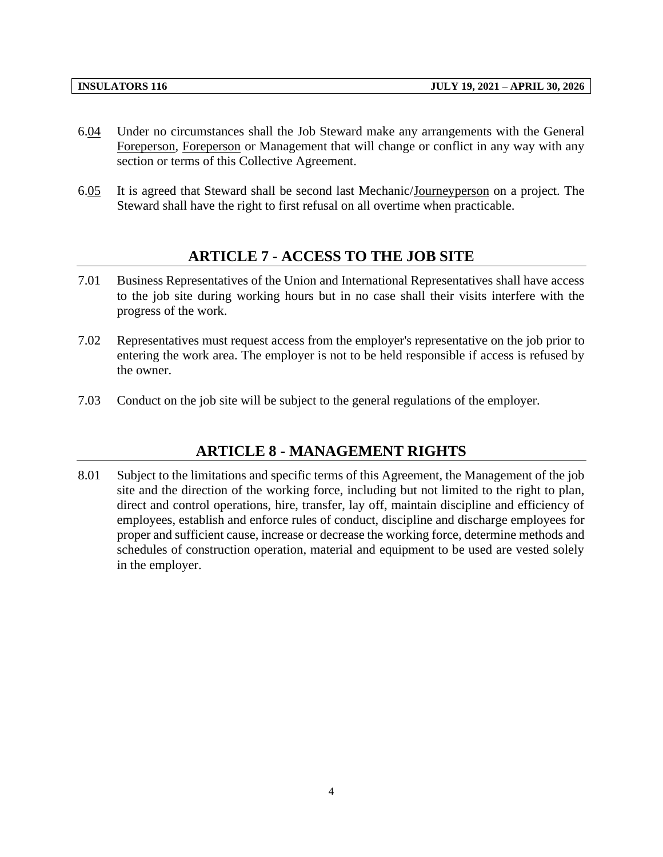- 6.04 Under no circumstances shall the Job Steward make any arrangements with the General Foreperson, Foreperson or Management that will change or conflict in any way with any section or terms of this Collective Agreement.
- <span id="page-6-0"></span>6.05 It is agreed that Steward shall be second last Mechanic/Journeyperson on a project. The Steward shall have the right to first refusal on all overtime when practicable.

### **ARTICLE 7 - ACCESS TO THE JOB SITE**

- 7.01 Business Representatives of the Union and International Representatives shall have access to the job site during working hours but in no case shall their visits interfere with the progress of the work.
- 7.02 Representatives must request access from the employer's representative on the job prior to entering the work area. The employer is not to be held responsible if access is refused by the owner.
- <span id="page-6-1"></span>7.03 Conduct on the job site will be subject to the general regulations of the employer.

## **ARTICLE 8 - MANAGEMENT RIGHTS**

8.01 Subject to the limitations and specific terms of this Agreement, the Management of the job site and the direction of the working force, including but not limited to the right to plan, direct and control operations, hire, transfer, lay off, maintain discipline and efficiency of employees, establish and enforce rules of conduct, discipline and discharge employees for proper and sufficient cause, increase or decrease the working force, determine methods and schedules of construction operation, material and equipment to be used are vested solely in the employer.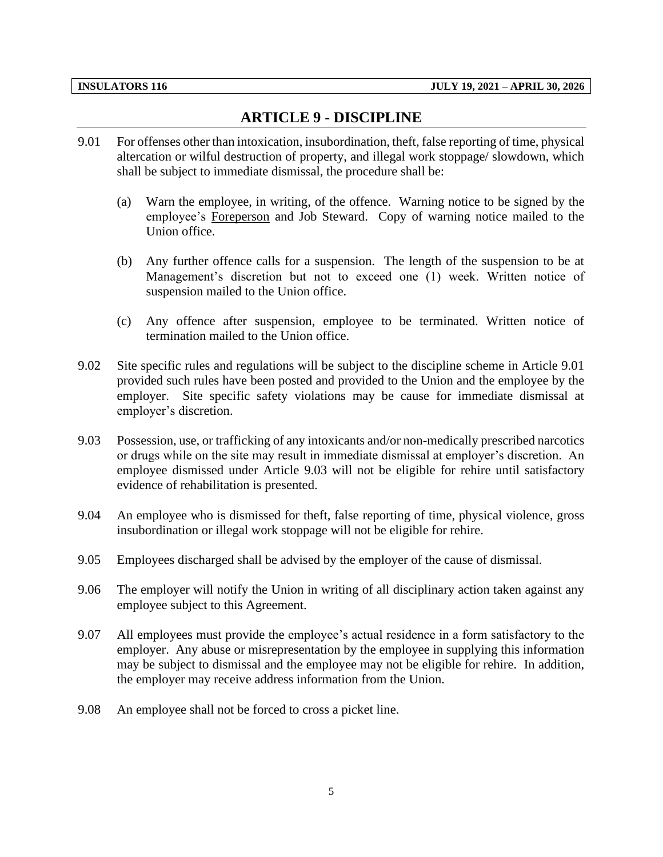## **ARTICLE 9 - DISCIPLINE**

- <span id="page-7-0"></span>9.01 For offenses other than intoxication, insubordination, theft, false reporting of time, physical altercation or wilful destruction of property, and illegal work stoppage/ slowdown, which shall be subject to immediate dismissal, the procedure shall be:
	- (a) Warn the employee, in writing, of the offence. Warning notice to be signed by the employee's Foreperson and Job Steward. Copy of warning notice mailed to the Union office.
	- (b) Any further offence calls for a suspension. The length of the suspension to be at Management's discretion but not to exceed one (1) week. Written notice of suspension mailed to the Union office.
	- (c) Any offence after suspension, employee to be terminated. Written notice of termination mailed to the Union office.
- 9.02 Site specific rules and regulations will be subject to the discipline scheme in Article 9.01 provided such rules have been posted and provided to the Union and the employee by the employer. Site specific safety violations may be cause for immediate dismissal at employer's discretion.
- 9.03 Possession, use, or trafficking of any intoxicants and/or non-medically prescribed narcotics or drugs while on the site may result in immediate dismissal at employer's discretion. An employee dismissed under Article 9.03 will not be eligible for rehire until satisfactory evidence of rehabilitation is presented.
- 9.04 An employee who is dismissed for theft, false reporting of time, physical violence, gross insubordination or illegal work stoppage will not be eligible for rehire.
- 9.05 Employees discharged shall be advised by the employer of the cause of dismissal.
- 9.06 The employer will notify the Union in writing of all disciplinary action taken against any employee subject to this Agreement.
- 9.07 All employees must provide the employee's actual residence in a form satisfactory to the employer. Any abuse or misrepresentation by the employee in supplying this information may be subject to dismissal and the employee may not be eligible for rehire. In addition, the employer may receive address information from the Union.
- 9.08 An employee shall not be forced to cross a picket line.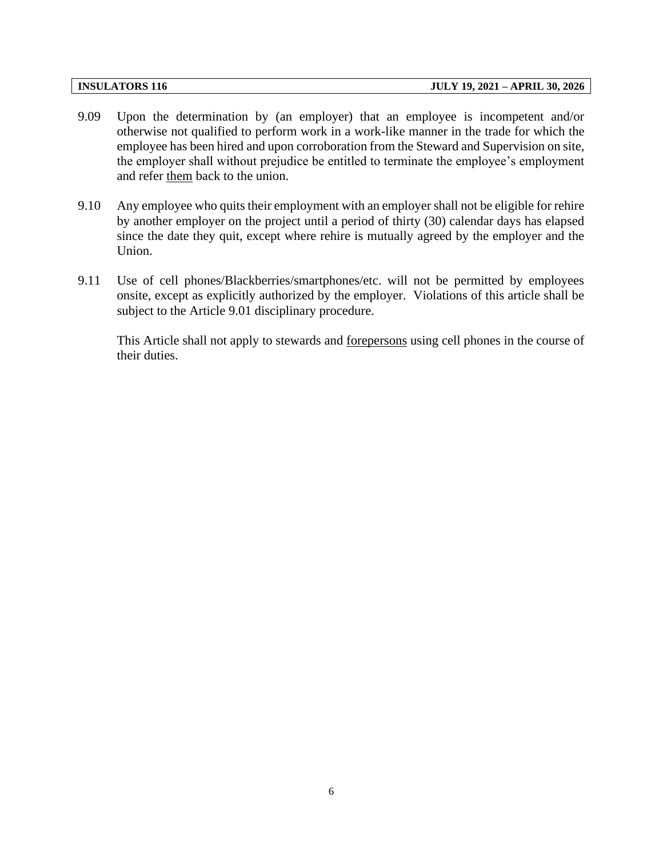- 9.09 Upon the determination by (an employer) that an employee is incompetent and/or otherwise not qualified to perform work in a work-like manner in the trade for which the employee has been hired and upon corroboration from the Steward and Supervision on site, the employer shall without prejudice be entitled to terminate the employee's employment and refer them back to the union.
- 9.10 Any employee who quits their employment with an employer shall not be eligible for rehire by another employer on the project until a period of thirty (30) calendar days has elapsed since the date they quit, except where rehire is mutually agreed by the employer and the Union.
- 9.11 Use of cell phones/Blackberries/smartphones/etc. will not be permitted by employees onsite, except as explicitly authorized by the employer. Violations of this article shall be subject to the Article 9.01 disciplinary procedure.

This Article shall not apply to stewards and forepersons using cell phones in the course of their duties.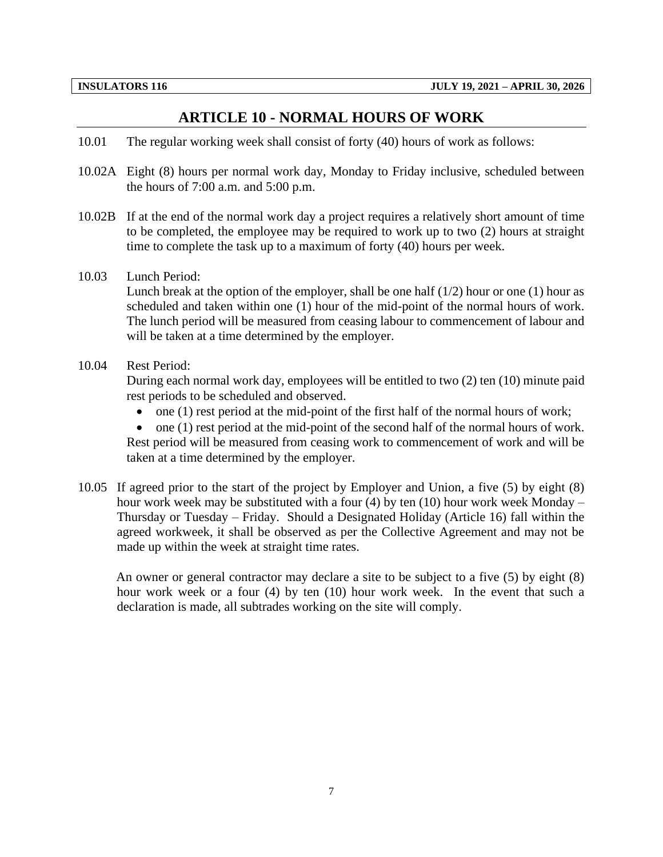#### **ARTICLE 10 - NORMAL HOURS OF WORK**

- <span id="page-9-0"></span>10.01 The regular working week shall consist of forty (40) hours of work as follows:
- 10.02A Eight (8) hours per normal work day, Monday to Friday inclusive, scheduled between the hours of 7:00 a.m. and 5:00 p.m.
- 10.02B If at the end of the normal work day a project requires a relatively short amount of time to be completed, the employee may be required to work up to two (2) hours at straight time to complete the task up to a maximum of forty (40) hours per week.
- 10.03 Lunch Period:

Lunch break at the option of the employer, shall be one half  $(1/2)$  hour or one  $(1)$  hour as scheduled and taken within one (1) hour of the mid-point of the normal hours of work. The lunch period will be measured from ceasing labour to commencement of labour and will be taken at a time determined by the employer.

10.04 Rest Period:

During each normal work day, employees will be entitled to two (2) ten (10) minute paid rest periods to be scheduled and observed.

- $\bullet$  one (1) rest period at the mid-point of the first half of the normal hours of work;
- one (1) rest period at the mid-point of the second half of the normal hours of work.

Rest period will be measured from ceasing work to commencement of work and will be taken at a time determined by the employer.

10.05 If agreed prior to the start of the project by Employer and Union, a five (5) by eight (8) hour work week may be substituted with a four (4) by ten (10) hour work week Monday – Thursday or Tuesday – Friday. Should a Designated Holiday (Article 16) fall within the agreed workweek, it shall be observed as per the Collective Agreement and may not be made up within the week at straight time rates.

An owner or general contractor may declare a site to be subject to a five (5) by eight (8) hour work week or a four (4) by ten (10) hour work week. In the event that such a declaration is made, all subtrades working on the site will comply.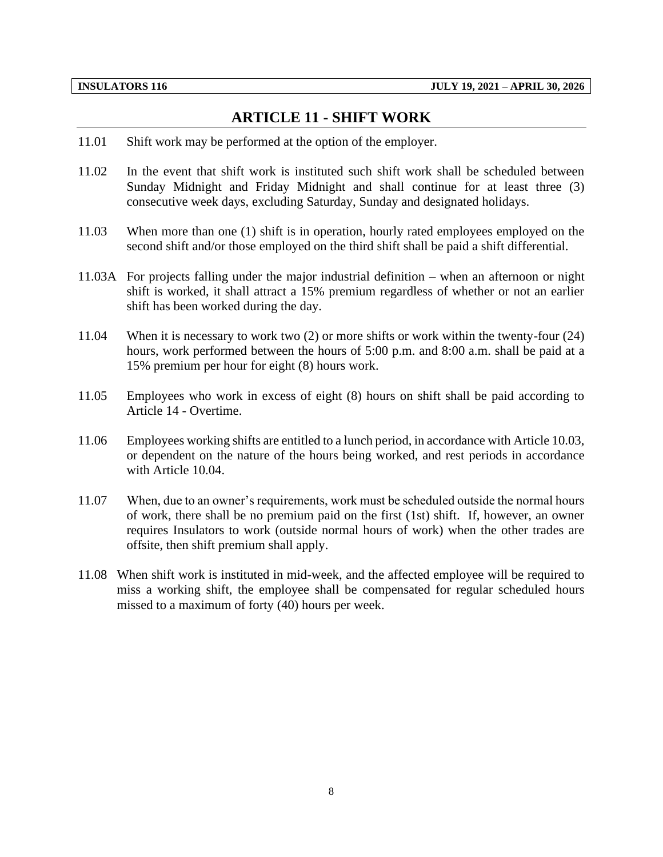### **ARTICLE 11 - SHIFT WORK**

- <span id="page-10-0"></span>11.01 Shift work may be performed at the option of the employer.
- 11.02 In the event that shift work is instituted such shift work shall be scheduled between Sunday Midnight and Friday Midnight and shall continue for at least three (3) consecutive week days, excluding Saturday, Sunday and designated holidays.
- 11.03 When more than one (1) shift is in operation, hourly rated employees employed on the second shift and/or those employed on the third shift shall be paid a shift differential.
- 11.03A For projects falling under the major industrial definition when an afternoon or night shift is worked, it shall attract a 15% premium regardless of whether or not an earlier shift has been worked during the day.
- 11.04 When it is necessary to work two (2) or more shifts or work within the twenty-four (24) hours, work performed between the hours of 5:00 p.m. and 8:00 a.m. shall be paid at a 15% premium per hour for eight (8) hours work.
- 11.05 Employees who work in excess of eight (8) hours on shift shall be paid according to Article 14 - Overtime.
- 11.06 Employees working shifts are entitled to a lunch period, in accordance with Article 10.03, or dependent on the nature of the hours being worked, and rest periods in accordance with Article 10.04.
- 11.07 When, due to an owner's requirements, work must be scheduled outside the normal hours of work, there shall be no premium paid on the first (1st) shift. If, however, an owner requires Insulators to work (outside normal hours of work) when the other trades are offsite, then shift premium shall apply.
- 11.08 When shift work is instituted in mid-week, and the affected employee will be required to miss a working shift, the employee shall be compensated for regular scheduled hours missed to a maximum of forty (40) hours per week.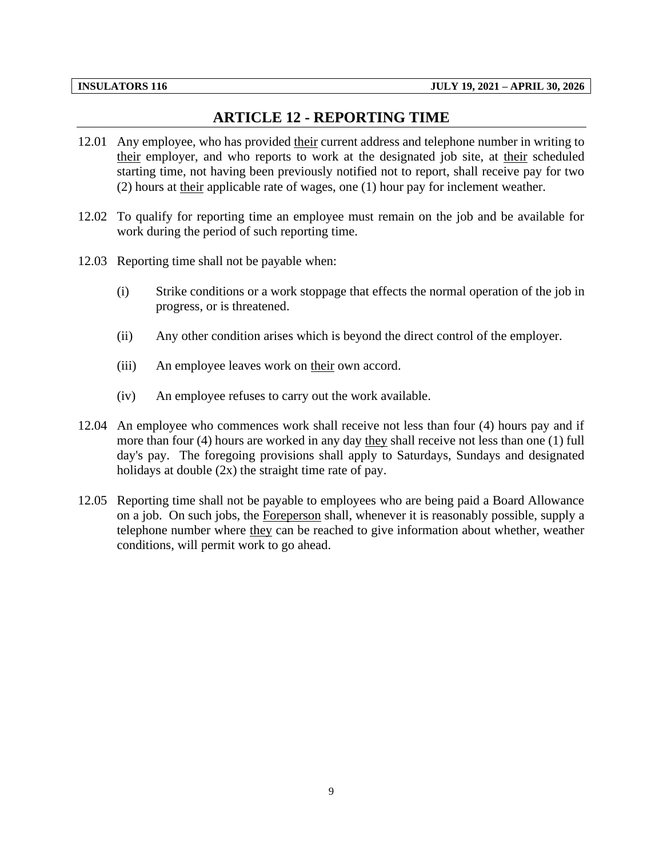## **ARTICLE 12 - REPORTING TIME**

- <span id="page-11-0"></span>12.01 Any employee, who has provided their current address and telephone number in writing to their employer, and who reports to work at the designated job site, at their scheduled starting time, not having been previously notified not to report, shall receive pay for two (2) hours at their applicable rate of wages, one (1) hour pay for inclement weather.
- 12.02 To qualify for reporting time an employee must remain on the job and be available for work during the period of such reporting time.
- 12.03 Reporting time shall not be payable when:
	- (i) Strike conditions or a work stoppage that effects the normal operation of the job in progress, or is threatened.
	- (ii) Any other condition arises which is beyond the direct control of the employer.
	- (iii) An employee leaves work on their own accord.
	- (iv) An employee refuses to carry out the work available.
- 12.04 An employee who commences work shall receive not less than four (4) hours pay and if more than four (4) hours are worked in any day they shall receive not less than one (1) full day's pay. The foregoing provisions shall apply to Saturdays, Sundays and designated holidays at double  $(2x)$  the straight time rate of pay.
- 12.05 Reporting time shall not be payable to employees who are being paid a Board Allowance on a job. On such jobs, the Foreperson shall, whenever it is reasonably possible, supply a telephone number where they can be reached to give information about whether, weather conditions, will permit work to go ahead.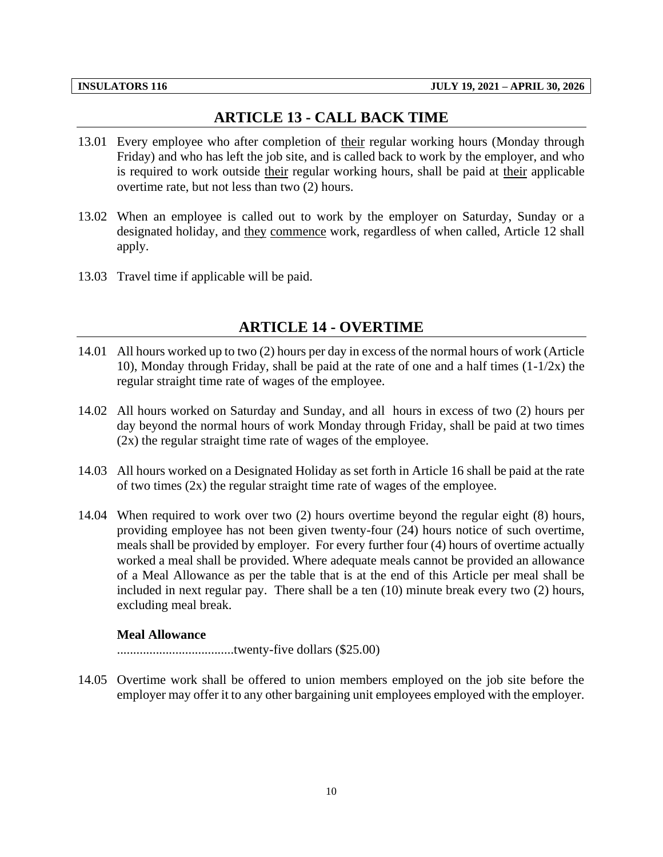## **ARTICLE 13 - CALL BACK TIME**

- <span id="page-12-0"></span>13.01 Every employee who after completion of their regular working hours (Monday through Friday) and who has left the job site, and is called back to work by the employer, and who is required to work outside their regular working hours, shall be paid at their applicable overtime rate, but not less than two (2) hours.
- 13.02 When an employee is called out to work by the employer on Saturday, Sunday or a designated holiday, and they commence work, regardless of when called, Article 12 shall apply.
- <span id="page-12-1"></span>13.03 Travel time if applicable will be paid.

## **ARTICLE 14 - OVERTIME**

- 14.01 All hours worked up to two (2) hours per day in excess of the normal hours of work (Article 10), Monday through Friday, shall be paid at the rate of one and a half times (1-1/2x) the regular straight time rate of wages of the employee.
- 14.02 All hours worked on Saturday and Sunday, and all hours in excess of two (2) hours per day beyond the normal hours of work Monday through Friday, shall be paid at two times (2x) the regular straight time rate of wages of the employee.
- 14.03 All hours worked on a Designated Holiday as set forth in Article 16 shall be paid at the rate of two times (2x) the regular straight time rate of wages of the employee.
- 14.04 When required to work over two (2) hours overtime beyond the regular eight (8) hours, providing employee has not been given twenty-four (24) hours notice of such overtime, meals shall be provided by employer. For every further four (4) hours of overtime actually worked a meal shall be provided. Where adequate meals cannot be provided an allowance of a Meal Allowance as per the table that is at the end of this Article per meal shall be included in next regular pay. There shall be a ten (10) minute break every two (2) hours, excluding meal break.

#### **Meal Allowance**

....................................twenty-five dollars (\$25.00)

14.05 Overtime work shall be offered to union members employed on the job site before the employer may offer it to any other bargaining unit employees employed with the employer.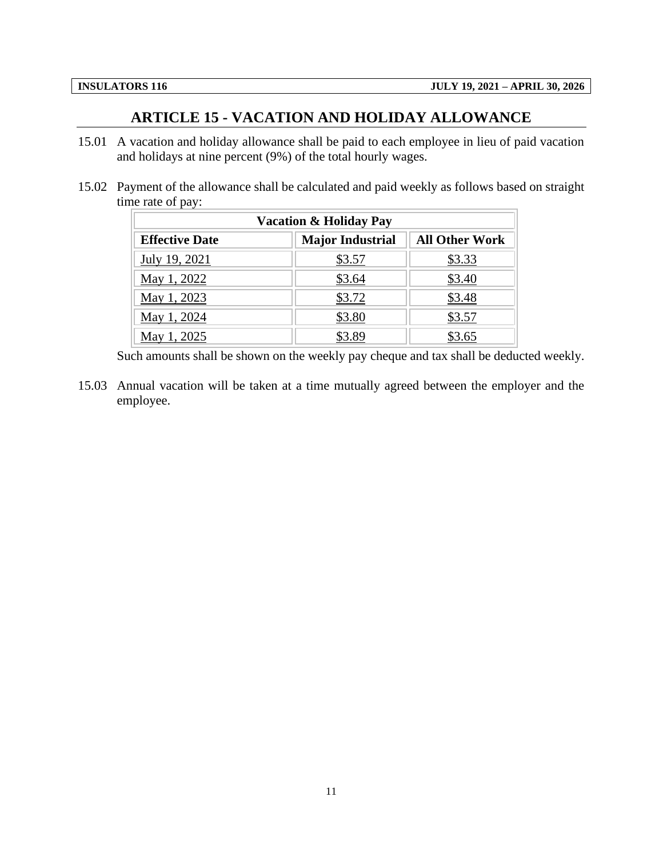### **ARTICLE 15 - VACATION AND HOLIDAY ALLOWANCE**

- <span id="page-13-0"></span>15.01 A vacation and holiday allowance shall be paid to each employee in lieu of paid vacation and holidays at nine percent (9%) of the total hourly wages.
- 15.02 Payment of the allowance shall be calculated and paid weekly as follows based on straight time rate of pay:

| <b>Vacation &amp; Holiday Pay</b>                                         |        |        |  |  |
|---------------------------------------------------------------------------|--------|--------|--|--|
| <b>All Other Work</b><br><b>Major Industrial</b><br><b>Effective Date</b> |        |        |  |  |
| July 19, 2021                                                             | \$3.57 | \$3.33 |  |  |
| May 1, 2022                                                               | \$3.64 | \$3.40 |  |  |
| May 1, 2023                                                               | \$3.72 | \$3.48 |  |  |
| May 1, 2024                                                               | \$3.80 | \$3.57 |  |  |
| 2025<br>May                                                               |        |        |  |  |

Such amounts shall be shown on the weekly pay cheque and tax shall be deducted weekly.

15.03 Annual vacation will be taken at a time mutually agreed between the employer and the employee.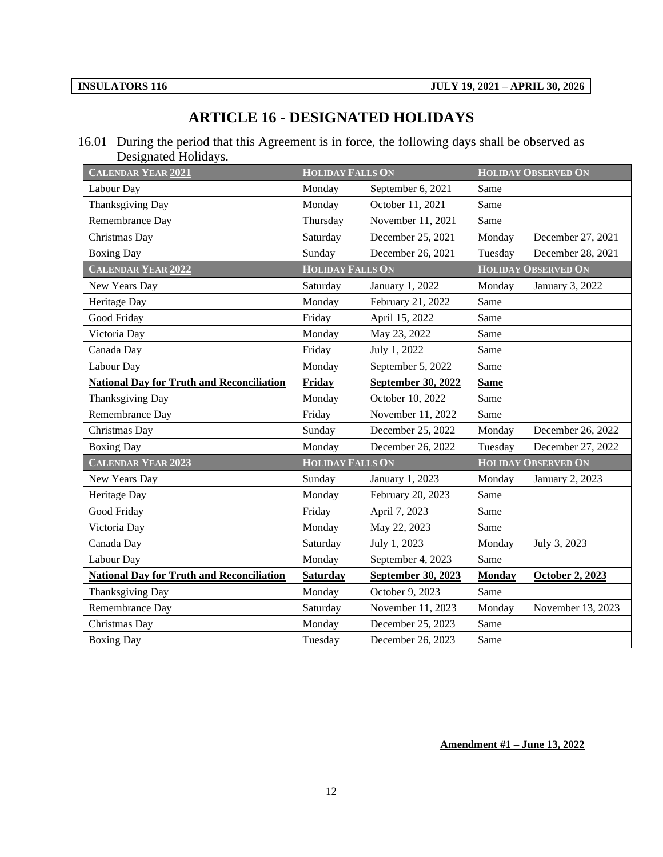## **ARTICLE 16 - DESIGNATED HOLIDAYS**

<span id="page-14-0"></span>16.01 During the period that this Agreement is in force, the following days shall be observed as Designated Holidays.

| CALENDAR YEAR 2021                               | <b>HOLIDAY FALLS ON</b> |                    | <b>HOLIDAY OBSERVED ON</b> |                            |
|--------------------------------------------------|-------------------------|--------------------|----------------------------|----------------------------|
| Labour Day                                       | Monday                  | September 6, 2021  | Same                       |                            |
| Thanksgiving Day                                 | Monday                  | October 11, 2021   | Same                       |                            |
| Remembrance Day                                  | Thursday                | November 11, 2021  | Same                       |                            |
| Christmas Day                                    | Saturday                | December 25, 2021  | Monday                     | December 27, 2021          |
| <b>Boxing Day</b>                                | Sunday                  | December 26, 2021  | Tuesday                    | December 28, 2021          |
| CALENDAR YEAR 2022                               | <b>HOLIDAY FALLS ON</b> |                    |                            | <b>HOLIDAY OBSERVED ON</b> |
| New Years Day                                    | Saturday                | January 1, 2022    | Monday                     | January 3, 2022            |
| Heritage Day                                     | Monday                  | February 21, 2022  | Same                       |                            |
| Good Friday                                      | Friday                  | April 15, 2022     | Same                       |                            |
| Victoria Day                                     | Monday                  | May 23, 2022       | Same                       |                            |
| Canada Day                                       | Friday                  | July 1, 2022       | Same                       |                            |
| Labour Day                                       | Monday                  | September 5, 2022  | Same                       |                            |
| <b>National Day for Truth and Reconciliation</b> | Friday                  | September 30, 2022 | <b>Same</b>                |                            |
| Thanksgiving Day                                 | Monday                  | October 10, 2022   | Same                       |                            |
| Remembrance Day                                  | Friday                  | November 11, 2022  | Same                       |                            |
| Christmas Day                                    | Sunday                  | December 25, 2022  | Monday                     | December 26, 2022          |
| <b>Boxing Day</b>                                | Monday                  | December 26, 2022  | Tuesday                    | December 27, 2022          |
| <b>CALENDAR YEAR 2023</b>                        | <b>HOLIDAY FALLS ON</b> |                    | <b>HOLIDAY OBSERVED ON</b> |                            |
| New Years Day                                    | Sunday                  | January 1, 2023    | Monday                     | January 2, 2023            |
| Heritage Day                                     | Monday                  | February 20, 2023  | Same                       |                            |
| Good Friday                                      | Friday                  | April 7, 2023      | Same                       |                            |
| Victoria Day                                     | Monday                  | May 22, 2023       | Same                       |                            |
| Canada Day                                       | Saturday                | July 1, 2023       | Monday                     | July 3, 2023               |
| Labour Day                                       | Monday                  | September 4, 2023  | Same                       |                            |
| <b>National Day for Truth and Reconciliation</b> | <b>Saturday</b>         | September 30, 2023 | <b>Monday</b>              | October 2, 2023            |
| Thanksgiving Day                                 | Monday                  | October 9, 2023    | Same                       |                            |
| Remembrance Day                                  | Saturday                | November 11, 2023  | Monday                     | November 13, 2023          |
| Christmas Day                                    | Monday                  | December 25, 2023  | Same                       |                            |
| <b>Boxing Day</b>                                | Tuesday                 | December 26, 2023  | Same                       |                            |

**Amendment #1 – June 13, 2022**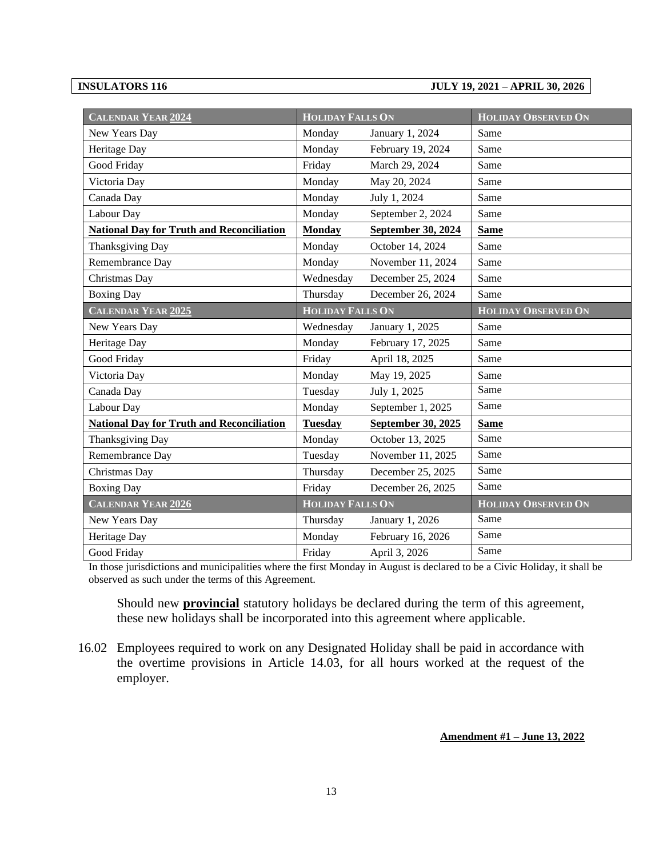#### **INSULATORS 116 JULY 19, 2021 – APRIL 30, 2026**

| <b>CALENDAR YEAR 2024</b>                        | <b>HOLIDAY FALLS ON</b> |                    | <b>HOLIDAY OBSERVED ON</b> |
|--------------------------------------------------|-------------------------|--------------------|----------------------------|
| New Years Day                                    | Monday                  | January 1, 2024    | Same                       |
| Heritage Day                                     | Monday                  | February 19, 2024  | Same                       |
| Good Friday                                      | Friday                  | March 29, 2024     | Same                       |
| Victoria Day                                     | Monday                  | May 20, 2024       | Same                       |
| Canada Day                                       | Monday                  | July 1, 2024       | Same                       |
| Labour Day                                       | Monday                  | September 2, 2024  | Same                       |
| <b>National Day for Truth and Reconciliation</b> | <b>Monday</b>           | September 30, 2024 | <b>Same</b>                |
| Thanksgiving Day                                 | Monday                  | October 14, 2024   | Same                       |
| Remembrance Day                                  | Monday                  | November 11, 2024  | Same                       |
| Christmas Day                                    | Wednesday               | December 25, 2024  | Same                       |
| <b>Boxing Day</b>                                | Thursday                | December 26, 2024  | Same                       |
| <b>CALENDAR YEAR 2025</b>                        | <b>HOLIDAY FALLS ON</b> |                    | <b>HOLIDAY OBSERVED ON</b> |
| New Years Day                                    | Wednesday               | January 1, 2025    | Same                       |
| Heritage Day                                     | Monday                  | February 17, 2025  | Same                       |
| Good Friday                                      | Friday                  | April 18, 2025     | Same                       |
| Victoria Day                                     | Monday                  | May 19, 2025       | Same                       |
| Canada Day                                       | Tuesday                 | July 1, 2025       | Same                       |
| Labour Day                                       | Monday                  | September 1, 2025  | Same                       |
| <b>National Day for Truth and Reconciliation</b> | <b>Tuesday</b>          | September 30, 2025 | <b>Same</b>                |
| Thanksgiving Day                                 | Monday                  | October 13, 2025   | Same                       |
| Remembrance Day                                  | Tuesday                 | November 11, 2025  | Same                       |
| Christmas Day                                    | Thursday                | December 25, 2025  | Same                       |
| <b>Boxing Day</b>                                | Friday                  | December 26, 2025  | Same                       |
| <b>CALENDAR YEAR 2026</b>                        | <b>HOLIDAY FALLS ON</b> |                    | <b>HOLIDAY OBSERVED ON</b> |
| New Years Day                                    | Thursday                | January 1, 2026    | Same                       |
| Heritage Day                                     | Monday                  | February 16, 2026  | Same                       |
| Good Friday                                      | Friday                  | April 3, 2026      | Same                       |

In those jurisdictions and municipalities where the first Monday in August is declared to be a Civic Holiday, it shall be observed as such under the terms of this Agreement.

Should new **provincial** statutory holidays be declared during the term of this agreement, these new holidays shall be incorporated into this agreement where applicable.

16.02 Employees required to work on any Designated Holiday shall be paid in accordance with the overtime provisions in Article 14.03, for all hours worked at the request of the employer.

#### **Amendment #1 – June 13, 2022**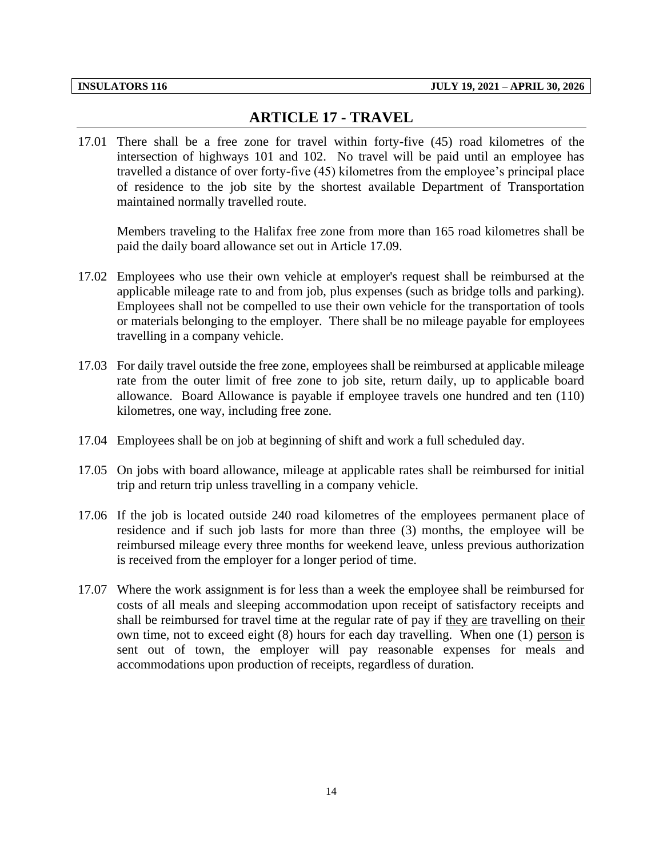## **ARTICLE 17 - TRAVEL**

<span id="page-16-0"></span>17.01 There shall be a free zone for travel within forty-five (45) road kilometres of the intersection of highways 101 and 102. No travel will be paid until an employee has travelled a distance of over forty-five (45) kilometres from the employee's principal place of residence to the job site by the shortest available Department of Transportation maintained normally travelled route.

Members traveling to the Halifax free zone from more than 165 road kilometres shall be paid the daily board allowance set out in Article 17.09.

- 17.02 Employees who use their own vehicle at employer's request shall be reimbursed at the applicable mileage rate to and from job, plus expenses (such as bridge tolls and parking). Employees shall not be compelled to use their own vehicle for the transportation of tools or materials belonging to the employer. There shall be no mileage payable for employees travelling in a company vehicle.
- 17.03 For daily travel outside the free zone, employees shall be reimbursed at applicable mileage rate from the outer limit of free zone to job site, return daily, up to applicable board allowance. Board Allowance is payable if employee travels one hundred and ten (110) kilometres, one way, including free zone.
- 17.04 Employees shall be on job at beginning of shift and work a full scheduled day.
- 17.05 On jobs with board allowance, mileage at applicable rates shall be reimbursed for initial trip and return trip unless travelling in a company vehicle.
- 17.06 If the job is located outside 240 road kilometres of the employees permanent place of residence and if such job lasts for more than three (3) months, the employee will be reimbursed mileage every three months for weekend leave, unless previous authorization is received from the employer for a longer period of time.
- 17.07 Where the work assignment is for less than a week the employee shall be reimbursed for costs of all meals and sleeping accommodation upon receipt of satisfactory receipts and shall be reimbursed for travel time at the regular rate of pay if they are travelling on their own time, not to exceed eight (8) hours for each day travelling. When one (1) person is sent out of town, the employer will pay reasonable expenses for meals and accommodations upon production of receipts, regardless of duration.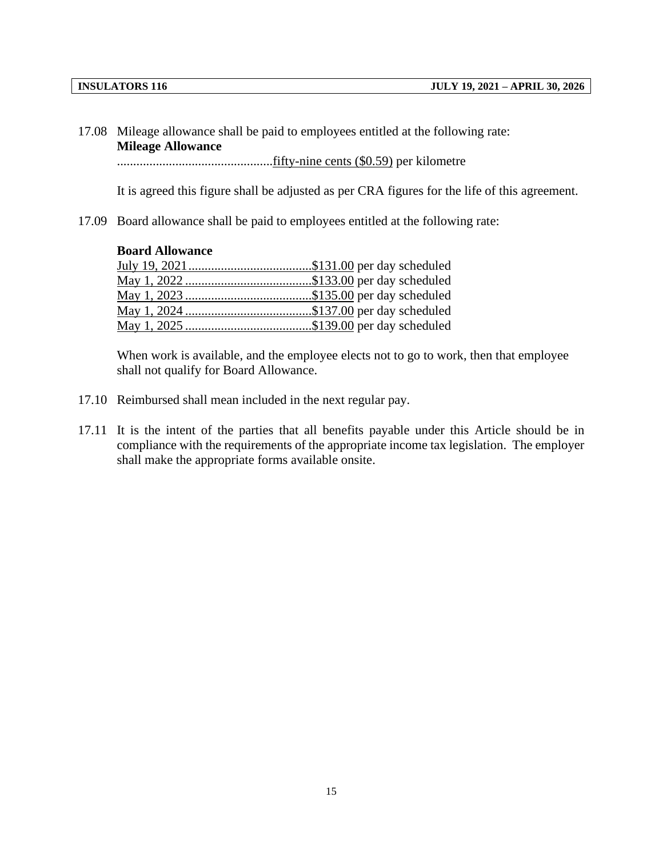17.08 Mileage allowance shall be paid to employees entitled at the following rate: **Mileage Allowance**

................................................fifty-nine cents (\$0.59) per kilometre

It is agreed this figure shall be adjusted as per CRA figures for the life of this agreement.

17.09 Board allowance shall be paid to employees entitled at the following rate:

### **Board Allowance**

When work is available, and the employee elects not to go to work, then that employee shall not qualify for Board Allowance.

- 17.10 Reimbursed shall mean included in the next regular pay.
- 17.11 It is the intent of the parties that all benefits payable under this Article should be in compliance with the requirements of the appropriate income tax legislation. The employer shall make the appropriate forms available onsite.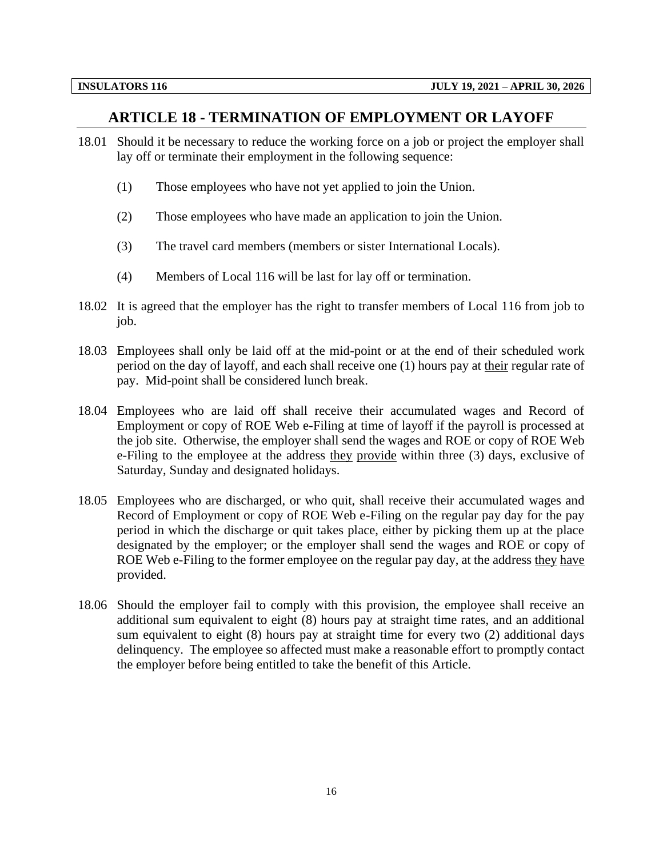### **ARTICLE 18 - TERMINATION OF EMPLOYMENT OR LAYOFF**

- <span id="page-18-0"></span>18.01 Should it be necessary to reduce the working force on a job or project the employer shall lay off or terminate their employment in the following sequence:
	- (1) Those employees who have not yet applied to join the Union.
	- (2) Those employees who have made an application to join the Union.
	- (3) The travel card members (members or sister International Locals).
	- (4) Members of Local 116 will be last for lay off or termination.
- 18.02 It is agreed that the employer has the right to transfer members of Local 116 from job to job.
- 18.03 Employees shall only be laid off at the mid-point or at the end of their scheduled work period on the day of layoff, and each shall receive one (1) hours pay at their regular rate of pay. Mid-point shall be considered lunch break.
- 18.04 Employees who are laid off shall receive their accumulated wages and Record of Employment or copy of ROE Web e-Filing at time of layoff if the payroll is processed at the job site. Otherwise, the employer shall send the wages and ROE or copy of ROE Web e-Filing to the employee at the address they provide within three (3) days, exclusive of Saturday, Sunday and designated holidays.
- 18.05 Employees who are discharged, or who quit, shall receive their accumulated wages and Record of Employment or copy of ROE Web e-Filing on the regular pay day for the pay period in which the discharge or quit takes place, either by picking them up at the place designated by the employer; or the employer shall send the wages and ROE or copy of ROE Web e-Filing to the former employee on the regular pay day, at the address they have provided.
- 18.06 Should the employer fail to comply with this provision, the employee shall receive an additional sum equivalent to eight (8) hours pay at straight time rates, and an additional sum equivalent to eight (8) hours pay at straight time for every two (2) additional days delinquency. The employee so affected must make a reasonable effort to promptly contact the employer before being entitled to take the benefit of this Article.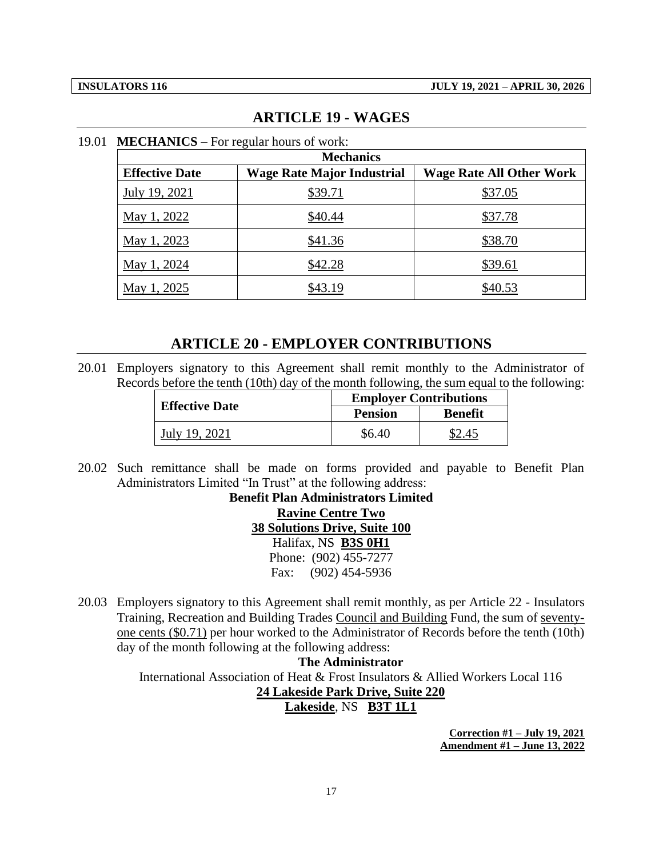#### **ARTICLE 19 - WAGES**

| <b>Mechanics</b>      |                                   |                                 |  |  |
|-----------------------|-----------------------------------|---------------------------------|--|--|
| <b>Effective Date</b> | <b>Wage Rate Major Industrial</b> | <b>Wage Rate All Other Work</b> |  |  |
| July 19, 2021         | \$39.71                           | \$37.05                         |  |  |
| May 1, 2022           | \$40.44                           | \$37.78                         |  |  |
| May 1, 2023           | \$41.36                           | \$38.70                         |  |  |
| May 1, 2024           | \$42.28                           | \$39.61                         |  |  |
| May 1, 2025           | \$43.19                           | \$40.53                         |  |  |

#### <span id="page-19-0"></span>19.01 **MECHANICS** – For regular hours of work:

#### **ARTICLE 20 - EMPLOYER CONTRIBUTIONS**

<span id="page-19-1"></span>20.01 Employers signatory to this Agreement shall remit monthly to the Administrator of Records before the tenth (10th) day of the month following, the sum equal to the following:

|                       | <b>Employer Contributions</b> |                |  |
|-----------------------|-------------------------------|----------------|--|
| <b>Effective Date</b> | <b>Pension</b>                | <b>Benefit</b> |  |
| July 19, 2021         | \$6.40                        |                |  |

20.02 Such remittance shall be made on forms provided and payable to Benefit Plan Administrators Limited "In Trust" at the following address:

> **Benefit Plan Administrators Limited Ravine Centre Two 38 Solutions Drive, Suite 100** Halifax, NS **B3S 0H1** Phone: (902) 455-7277 Fax: (902) 454-5936

20.03 Employers signatory to this Agreement shall remit monthly, as per Article 22 - Insulators Training, Recreation and Building Trades Council and Building Fund, the sum of seventyone cents (\$0.71) per hour worked to the Administrator of Records before the tenth (10th) day of the month following at the following address:

### **The Administrator** International Association of Heat & Frost Insulators & Allied Workers Local 116 **24 Lakeside Park Drive, Suite 220 Lakeside**, NS **B3T 1L1**

**Correction #1 – July 19, 2021 Amendment #1 – June 13, 2022**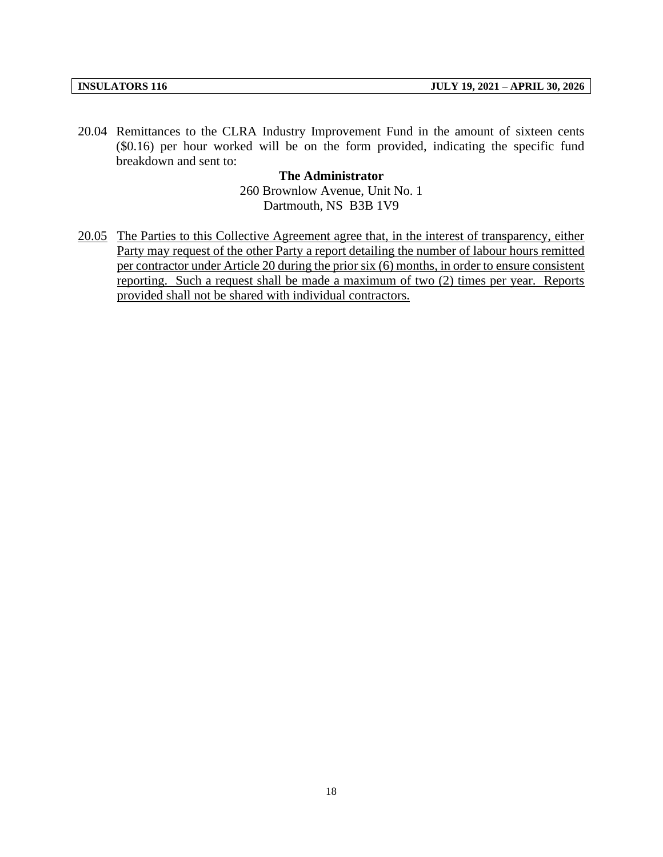20.04 Remittances to the CLRA Industry Improvement Fund in the amount of sixteen cents (\$0.16) per hour worked will be on the form provided, indicating the specific fund breakdown and sent to:

> **The Administrator** 260 Brownlow Avenue, Unit No. 1 Dartmouth, NS B3B 1V9

20.05 The Parties to this Collective Agreement agree that, in the interest of transparency, either Party may request of the other Party a report detailing the number of labour hours remitted per contractor under Article 20 during the prior six (6) months, in order to ensure consistent reporting. Such a request shall be made a maximum of two (2) times per year. Reports provided shall not be shared with individual contractors.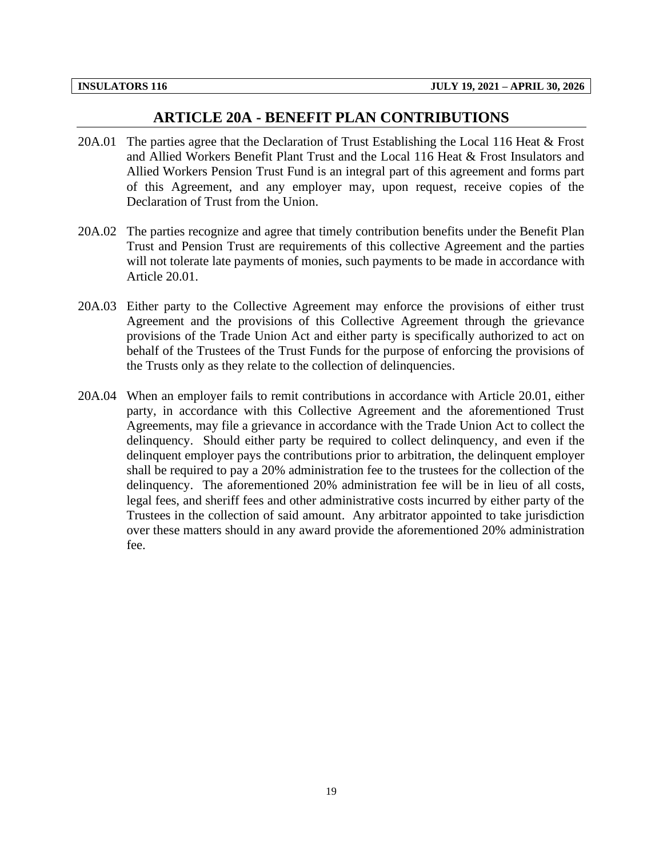#### **ARTICLE 20A - BENEFIT PLAN CONTRIBUTIONS**

- <span id="page-21-0"></span>20A.01 The parties agree that the Declaration of Trust Establishing the Local 116 Heat & Frost and Allied Workers Benefit Plant Trust and the Local 116 Heat & Frost Insulators and Allied Workers Pension Trust Fund is an integral part of this agreement and forms part of this Agreement, and any employer may, upon request, receive copies of the Declaration of Trust from the Union.
- 20A.02 The parties recognize and agree that timely contribution benefits under the Benefit Plan Trust and Pension Trust are requirements of this collective Agreement and the parties will not tolerate late payments of monies, such payments to be made in accordance with Article 20.01.
- 20A.03 Either party to the Collective Agreement may enforce the provisions of either trust Agreement and the provisions of this Collective Agreement through the grievance provisions of the Trade Union Act and either party is specifically authorized to act on behalf of the Trustees of the Trust Funds for the purpose of enforcing the provisions of the Trusts only as they relate to the collection of delinquencies.
- 20A.04 When an employer fails to remit contributions in accordance with Article 20.01, either party, in accordance with this Collective Agreement and the aforementioned Trust Agreements, may file a grievance in accordance with the Trade Union Act to collect the delinquency. Should either party be required to collect delinquency, and even if the delinquent employer pays the contributions prior to arbitration, the delinquent employer shall be required to pay a 20% administration fee to the trustees for the collection of the delinquency. The aforementioned 20% administration fee will be in lieu of all costs, legal fees, and sheriff fees and other administrative costs incurred by either party of the Trustees in the collection of said amount. Any arbitrator appointed to take jurisdiction over these matters should in any award provide the aforementioned 20% administration fee.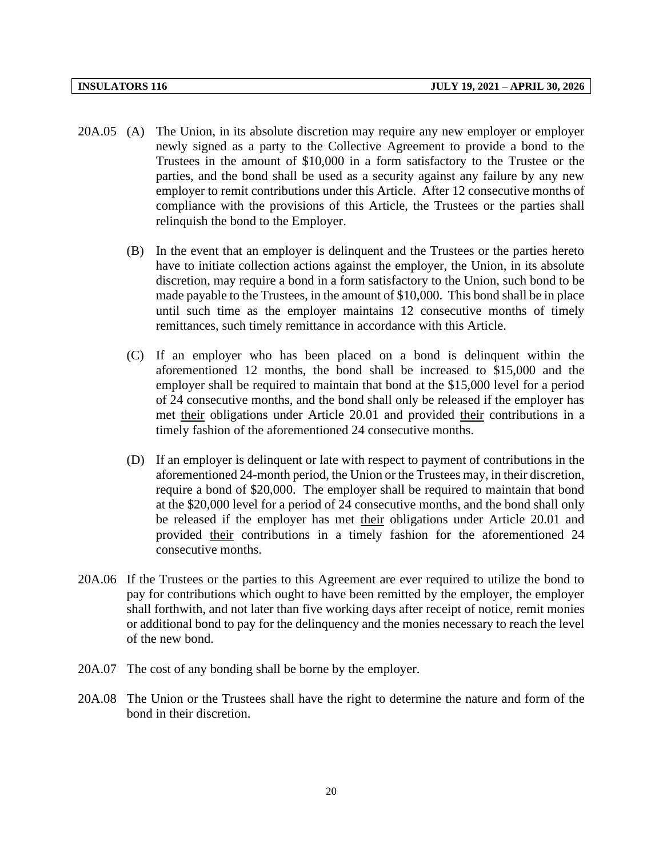- 20A.05 (A) The Union, in its absolute discretion may require any new employer or employer newly signed as a party to the Collective Agreement to provide a bond to the Trustees in the amount of \$10,000 in a form satisfactory to the Trustee or the parties, and the bond shall be used as a security against any failure by any new employer to remit contributions under this Article. After 12 consecutive months of compliance with the provisions of this Article, the Trustees or the parties shall relinquish the bond to the Employer.
	- (B) In the event that an employer is delinquent and the Trustees or the parties hereto have to initiate collection actions against the employer, the Union, in its absolute discretion, may require a bond in a form satisfactory to the Union, such bond to be made payable to the Trustees, in the amount of \$10,000. This bond shall be in place until such time as the employer maintains 12 consecutive months of timely remittances, such timely remittance in accordance with this Article.
	- (C) If an employer who has been placed on a bond is delinquent within the aforementioned 12 months, the bond shall be increased to \$15,000 and the employer shall be required to maintain that bond at the \$15,000 level for a period of 24 consecutive months, and the bond shall only be released if the employer has met their obligations under Article 20.01 and provided their contributions in a timely fashion of the aforementioned 24 consecutive months.
	- (D) If an employer is delinquent or late with respect to payment of contributions in the aforementioned 24-month period, the Union or the Trustees may, in their discretion, require a bond of \$20,000. The employer shall be required to maintain that bond at the \$20,000 level for a period of 24 consecutive months, and the bond shall only be released if the employer has met their obligations under Article 20.01 and provided their contributions in a timely fashion for the aforementioned 24 consecutive months.
- 20A.06 If the Trustees or the parties to this Agreement are ever required to utilize the bond to pay for contributions which ought to have been remitted by the employer, the employer shall forthwith, and not later than five working days after receipt of notice, remit monies or additional bond to pay for the delinquency and the monies necessary to reach the level of the new bond.
- 20A.07 The cost of any bonding shall be borne by the employer.
- 20A.08 The Union or the Trustees shall have the right to determine the nature and form of the bond in their discretion.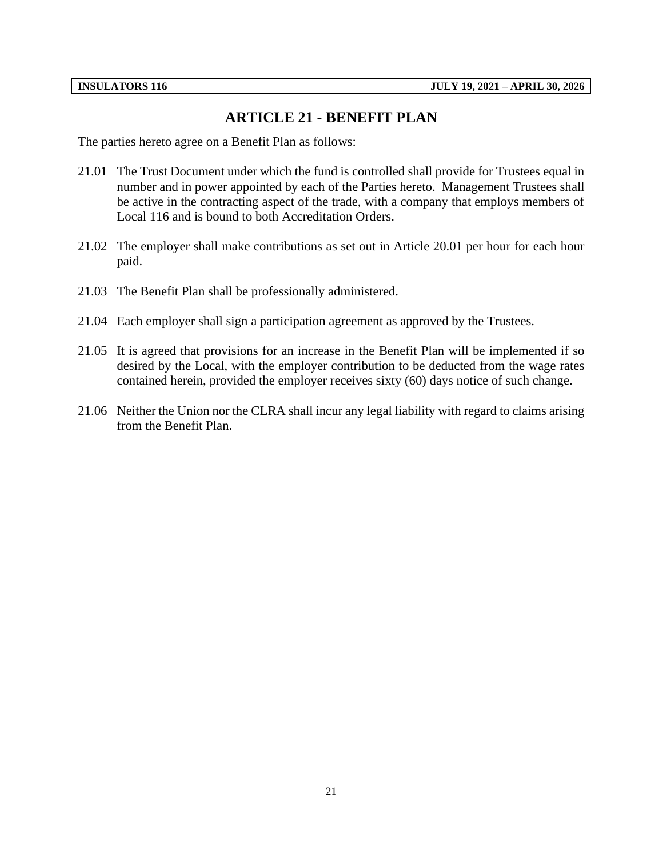### **ARTICLE 21 - BENEFIT PLAN**

<span id="page-23-0"></span>The parties hereto agree on a Benefit Plan as follows:

- 21.01 The Trust Document under which the fund is controlled shall provide for Trustees equal in number and in power appointed by each of the Parties hereto. Management Trustees shall be active in the contracting aspect of the trade, with a company that employs members of Local 116 and is bound to both Accreditation Orders.
- 21.02 The employer shall make contributions as set out in Article 20.01 per hour for each hour paid.
- 21.03 The Benefit Plan shall be professionally administered.
- 21.04 Each employer shall sign a participation agreement as approved by the Trustees.
- 21.05 It is agreed that provisions for an increase in the Benefit Plan will be implemented if so desired by the Local, with the employer contribution to be deducted from the wage rates contained herein, provided the employer receives sixty (60) days notice of such change.
- 21.06 Neither the Union nor the CLRA shall incur any legal liability with regard to claims arising from the Benefit Plan.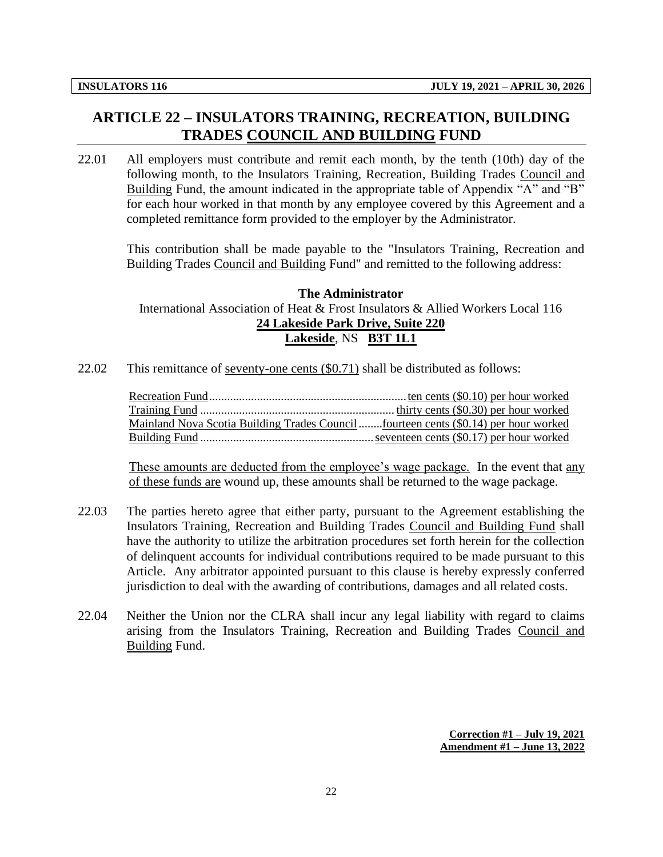## <span id="page-24-0"></span>**ARTICLE 22 – INSULATORS TRAINING, RECREATION, BUILDING TRADES COUNCIL AND BUILDING FUND**

22.01 All employers must contribute and remit each month, by the tenth (10th) day of the following month, to the Insulators Training, Recreation, Building Trades Council and Building Fund, the amount indicated in the appropriate table of Appendix "A" and "B" for each hour worked in that month by any employee covered by this Agreement and a completed remittance form provided to the employer by the Administrator.

This contribution shall be made payable to the "Insulators Training, Recreation and Building Trades Council and Building Fund" and remitted to the following address:

#### **The Administrator** International Association of Heat & Frost Insulators & Allied Workers Local 116 **24 Lakeside Park Drive, Suite 220 Lakeside**, NS **B3T 1L1**

22.02 This remittance of seventy-one cents (\$0.71) shall be distributed as follows:

Recreation Fund..................................................................ten cents (\$0.10) per hour worked Training Fund ................................................................. thirty cents (\$0.30) per hour worked Mainland Nova Scotia Building Trades Council........fourteen cents (\$0.14) per hour worked Building Fund ..........................................................seventeen cents (\$0.17) per hour worked

These amounts are deducted from the employee's wage package. In the event that any of these funds are wound up, these amounts shall be returned to the wage package.

- 22.03 The parties hereto agree that either party, pursuant to the Agreement establishing the Insulators Training, Recreation and Building Trades Council and Building Fund shall have the authority to utilize the arbitration procedures set forth herein for the collection of delinquent accounts for individual contributions required to be made pursuant to this Article. Any arbitrator appointed pursuant to this clause is hereby expressly conferred jurisdiction to deal with the awarding of contributions, damages and all related costs.
- 22.04 Neither the Union nor the CLRA shall incur any legal liability with regard to claims arising from the Insulators Training, Recreation and Building Trades Council and Building Fund.

**Correction #1 – July 19, 2021 Amendment #1 – June 13, 2022**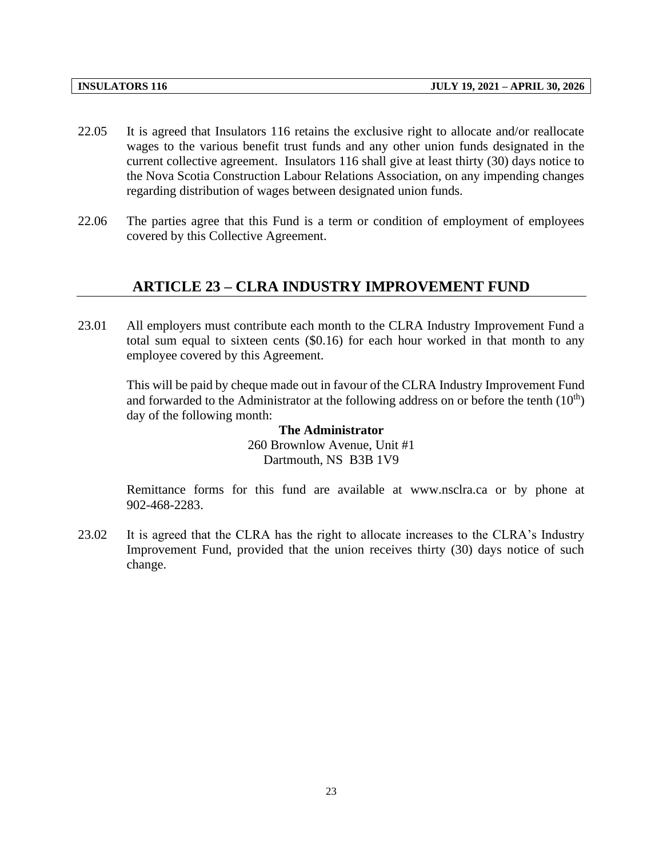- 22.05 It is agreed that Insulators 116 retains the exclusive right to allocate and/or reallocate wages to the various benefit trust funds and any other union funds designated in the current collective agreement. Insulators 116 shall give at least thirty (30) days notice to the Nova Scotia Construction Labour Relations Association, on any impending changes regarding distribution of wages between designated union funds.
- <span id="page-25-0"></span>22.06 The parties agree that this Fund is a term or condition of employment of employees covered by this Collective Agreement.

#### **ARTICLE 23 – CLRA INDUSTRY IMPROVEMENT FUND**

23.01 All employers must contribute each month to the CLRA Industry Improvement Fund a total sum equal to sixteen cents (\$0.16) for each hour worked in that month to any employee covered by this Agreement.

This will be paid by cheque made out in favour of the CLRA Industry Improvement Fund and forwarded to the Administrator at the following address on or before the tenth  $(10<sup>th</sup>)$ day of the following month:

#### **The Administrator** 260 Brownlow Avenue, Unit #1 Dartmouth, NS B3B 1V9

Remittance forms for this fund are available at www.nsclra.ca or by phone at 902-468-2283.

23.02 It is agreed that the CLRA has the right to allocate increases to the CLRA's Industry Improvement Fund, provided that the union receives thirty (30) days notice of such change.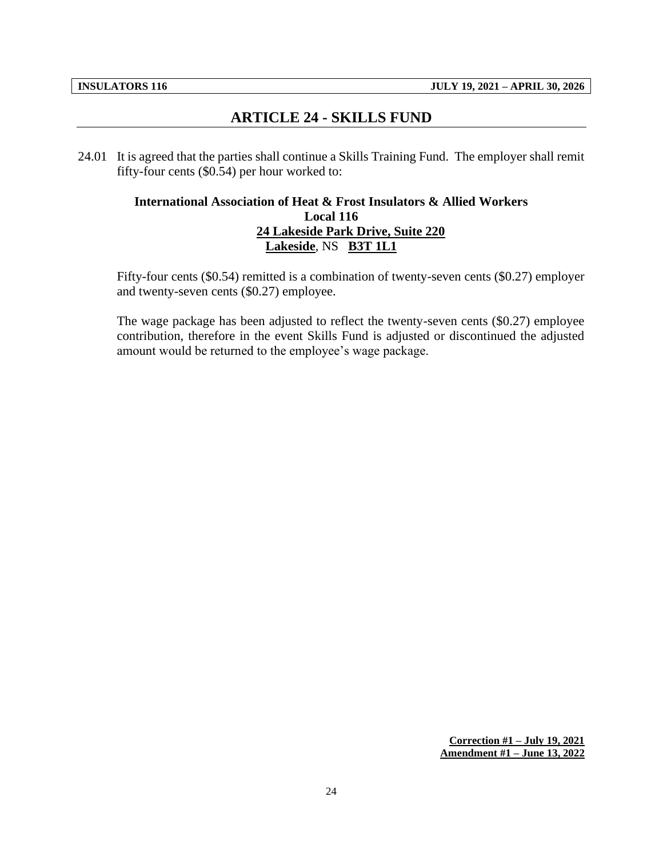## **ARTICLE 24 - SKILLS FUND**

<span id="page-26-0"></span>24.01 It is agreed that the parties shall continue a Skills Training Fund. The employer shall remit fifty-four cents (\$0.54) per hour worked to:

#### **International Association of Heat & Frost Insulators & Allied Workers Local 116 24 Lakeside Park Drive, Suite 220 Lakeside**, NS **B3T 1L1**

Fifty-four cents (\$0.54) remitted is a combination of twenty-seven cents (\$0.27) employer and twenty-seven cents (\$0.27) employee.

The wage package has been adjusted to reflect the twenty-seven cents (\$0.27) employee contribution, therefore in the event Skills Fund is adjusted or discontinued the adjusted amount would be returned to the employee's wage package.

> **Correction #1 – July 19, 2021 Amendment #1 – June 13, 2022**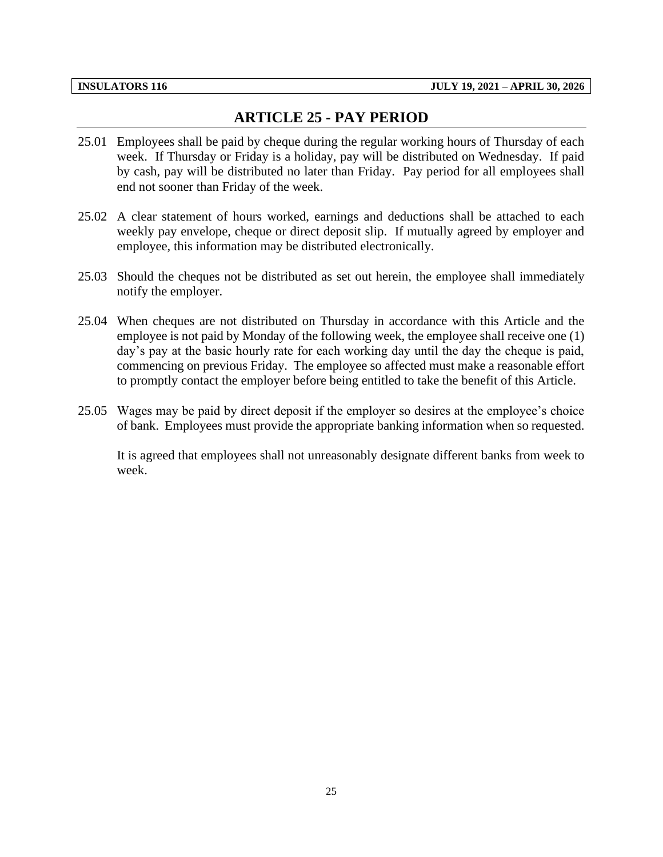## **ARTICLE 25 - PAY PERIOD**

- <span id="page-27-0"></span>25.01 Employees shall be paid by cheque during the regular working hours of Thursday of each week. If Thursday or Friday is a holiday, pay will be distributed on Wednesday. If paid by cash, pay will be distributed no later than Friday. Pay period for all employees shall end not sooner than Friday of the week.
- 25.02 A clear statement of hours worked, earnings and deductions shall be attached to each weekly pay envelope, cheque or direct deposit slip. If mutually agreed by employer and employee, this information may be distributed electronically.
- 25.03 Should the cheques not be distributed as set out herein, the employee shall immediately notify the employer.
- 25.04 When cheques are not distributed on Thursday in accordance with this Article and the employee is not paid by Monday of the following week, the employee shall receive one (1) day's pay at the basic hourly rate for each working day until the day the cheque is paid, commencing on previous Friday. The employee so affected must make a reasonable effort to promptly contact the employer before being entitled to take the benefit of this Article.
- 25.05 Wages may be paid by direct deposit if the employer so desires at the employee's choice of bank. Employees must provide the appropriate banking information when so requested.

It is agreed that employees shall not unreasonably designate different banks from week to week.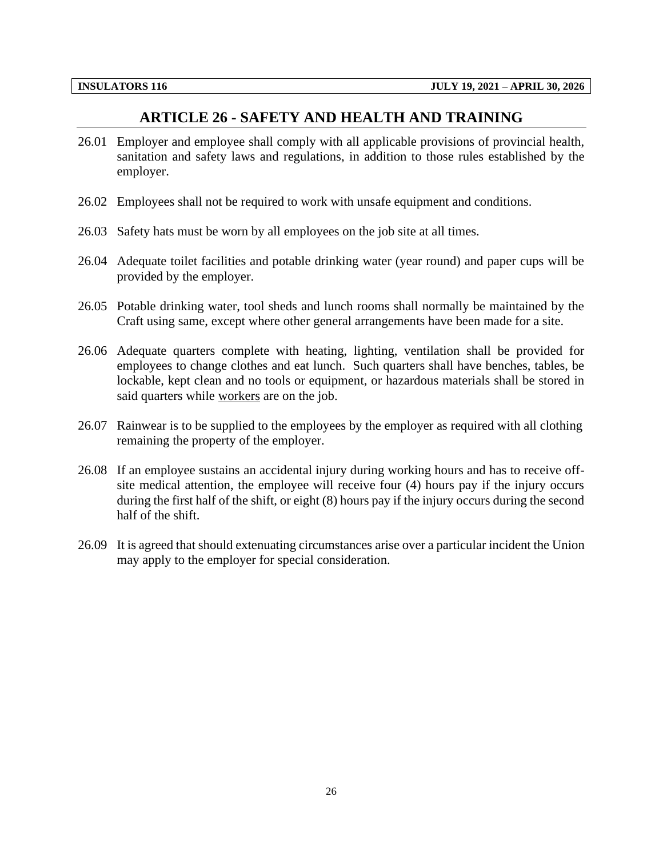### **ARTICLE 26 - SAFETY AND HEALTH AND TRAINING**

- <span id="page-28-0"></span>26.01 Employer and employee shall comply with all applicable provisions of provincial health, sanitation and safety laws and regulations, in addition to those rules established by the employer.
- 26.02 Employees shall not be required to work with unsafe equipment and conditions.
- 26.03 Safety hats must be worn by all employees on the job site at all times.
- 26.04 Adequate toilet facilities and potable drinking water (year round) and paper cups will be provided by the employer.
- 26.05 Potable drinking water, tool sheds and lunch rooms shall normally be maintained by the Craft using same, except where other general arrangements have been made for a site.
- 26.06 Adequate quarters complete with heating, lighting, ventilation shall be provided for employees to change clothes and eat lunch. Such quarters shall have benches, tables, be lockable, kept clean and no tools or equipment, or hazardous materials shall be stored in said quarters while workers are on the job.
- 26.07 Rainwear is to be supplied to the employees by the employer as required with all clothing remaining the property of the employer.
- 26.08 If an employee sustains an accidental injury during working hours and has to receive offsite medical attention, the employee will receive four (4) hours pay if the injury occurs during the first half of the shift, or eight (8) hours pay if the injury occurs during the second half of the shift.
- 26.09 It is agreed that should extenuating circumstances arise over a particular incident the Union may apply to the employer for special consideration.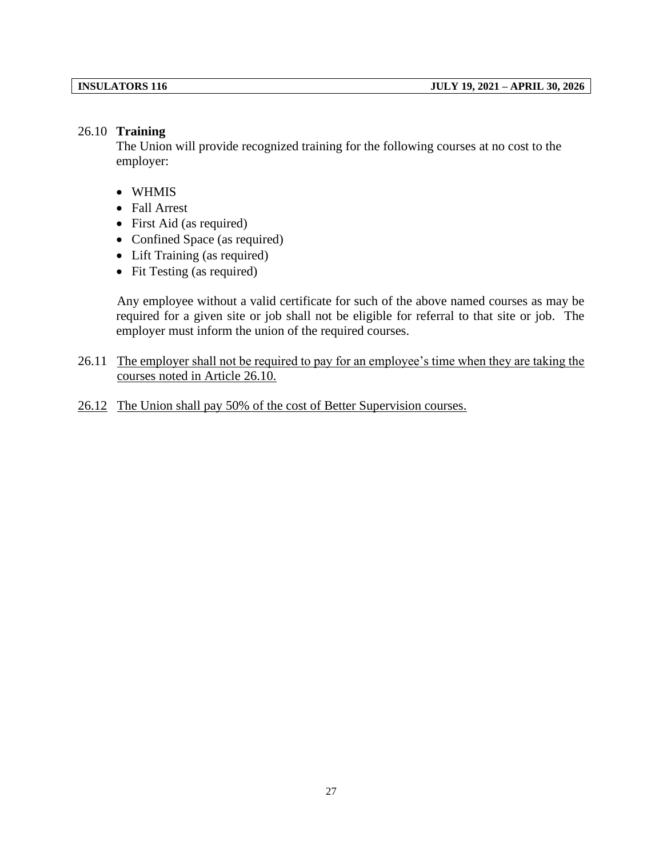#### 26.10 **Training**

The Union will provide recognized training for the following courses at no cost to the employer:

- WHMIS
- Fall Arrest
- First Aid (as required)
- Confined Space (as required)
- Lift Training (as required)
- Fit Testing (as required)

Any employee without a valid certificate for such of the above named courses as may be required for a given site or job shall not be eligible for referral to that site or job. The employer must inform the union of the required courses.

- 26.11 The employer shall not be required to pay for an employee's time when they are taking the courses noted in Article 26.10.
- 26.12 The Union shall pay 50% of the cost of Better Supervision courses.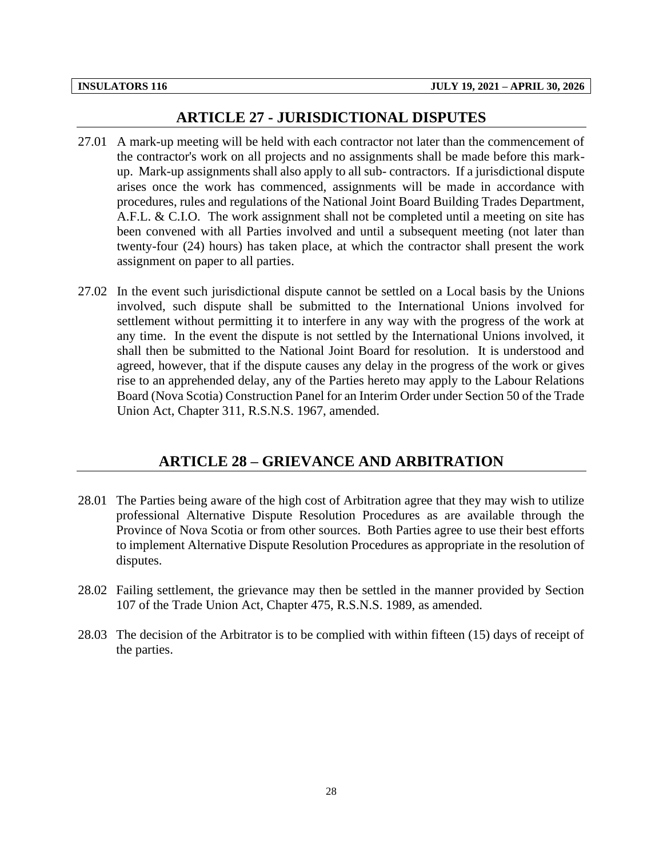#### **ARTICLE 27 - JURISDICTIONAL DISPUTES**

- <span id="page-30-0"></span>27.01 A mark-up meeting will be held with each contractor not later than the commencement of the contractor's work on all projects and no assignments shall be made before this markup. Mark-up assignments shall also apply to all sub- contractors. If a jurisdictional dispute arises once the work has commenced, assignments will be made in accordance with procedures, rules and regulations of the National Joint Board Building Trades Department, A.F.L. & C.I.O. The work assignment shall not be completed until a meeting on site has been convened with all Parties involved and until a subsequent meeting (not later than twenty-four (24) hours) has taken place, at which the contractor shall present the work assignment on paper to all parties.
- 27.02 In the event such jurisdictional dispute cannot be settled on a Local basis by the Unions involved, such dispute shall be submitted to the International Unions involved for settlement without permitting it to interfere in any way with the progress of the work at any time. In the event the dispute is not settled by the International Unions involved, it shall then be submitted to the National Joint Board for resolution. It is understood and agreed, however, that if the dispute causes any delay in the progress of the work or gives rise to an apprehended delay, any of the Parties hereto may apply to the Labour Relations Board (Nova Scotia) Construction Panel for an Interim Order under Section 50 of the Trade Union Act, Chapter 311, R.S.N.S. 1967, amended.

#### **ARTICLE 28 – GRIEVANCE AND ARBITRATION**

- <span id="page-30-1"></span>28.01 The Parties being aware of the high cost of Arbitration agree that they may wish to utilize professional Alternative Dispute Resolution Procedures as are available through the Province of Nova Scotia or from other sources. Both Parties agree to use their best efforts to implement Alternative Dispute Resolution Procedures as appropriate in the resolution of disputes.
- 28.02 Failing settlement, the grievance may then be settled in the manner provided by Section 107 of the Trade Union Act, Chapter 475, R.S.N.S. 1989, as amended.
- 28.03 The decision of the Arbitrator is to be complied with within fifteen (15) days of receipt of the parties.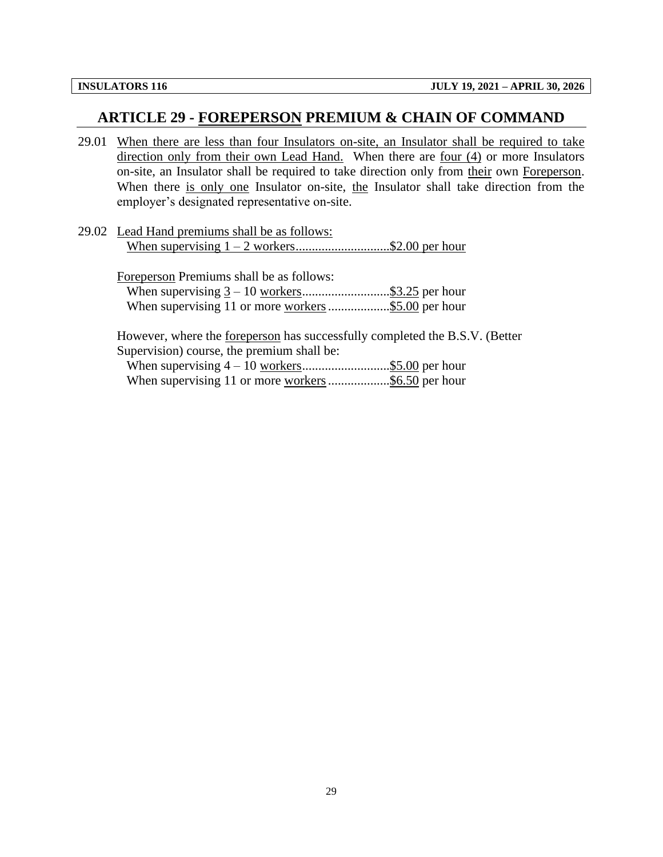#### <span id="page-31-0"></span>**ARTICLE 29 - FOREPERSON PREMIUM & CHAIN OF COMMAND**

- 29.01 When there are less than four Insulators on-site, an Insulator shall be required to take direction only from their own Lead Hand. When there are four (4) or more Insulators on-site, an Insulator shall be required to take direction only from their own Foreperson. When there is only one Insulator on-site, the Insulator shall take direction from the employer's designated representative on-site.
- 29.02 Lead Hand premiums shall be as follows: When supervising  $1 - 2$  workers............................\$2.00 per hour

| Foreperson Premiums shall be as follows: |  |
|------------------------------------------|--|
|                                          |  |
|                                          |  |

However, where the foreperson has successfully completed the B.S.V. (Better Supervision) course, the premium shall be: When supervising 4 – 10 workers...........................\$5.00 per hour

When supervising 11 or more workers..................\$6.50 per hour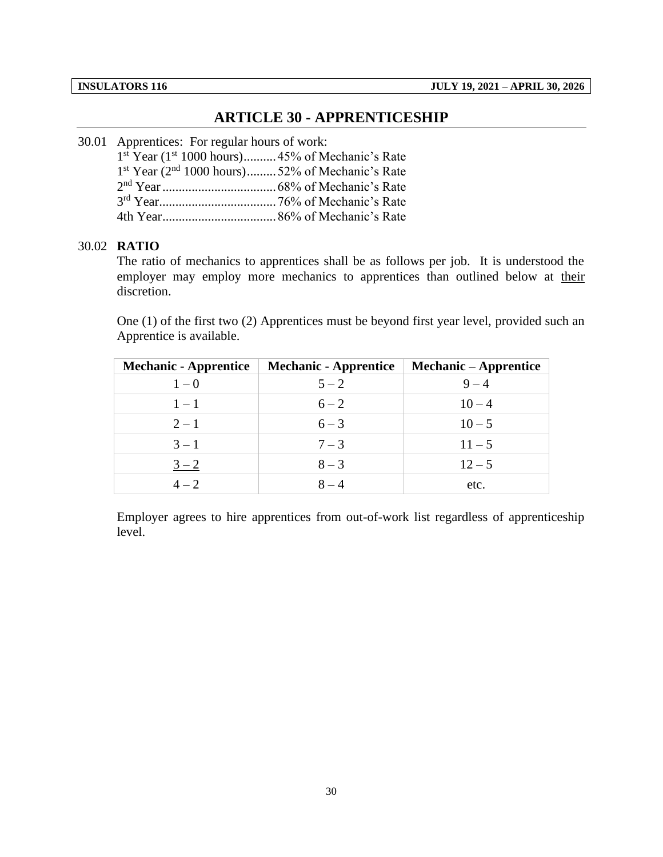### **ARTICLE 30 - APPRENTICESHIP**

#### <span id="page-32-0"></span>30.01 Apprentices: For regular hours of work:

| 1 <sup>st</sup> Year (1 <sup>st</sup> 1000 hours)45% of Mechanic's Rate |  |
|-------------------------------------------------------------------------|--|
| 1st Year (2 <sup>nd</sup> 1000 hours)52% of Mechanic's Rate             |  |
|                                                                         |  |
|                                                                         |  |
|                                                                         |  |

### 30.02 **RATIO**

The ratio of mechanics to apprentices shall be as follows per job. It is understood the employer may employ more mechanics to apprentices than outlined below at their discretion.

One (1) of the first two (2) Apprentices must be beyond first year level, provided such an Apprentice is available.

| <b>Mechanic - Apprentice</b> | <b>Mechanic - Apprentice</b> | <b>Mechanic – Apprentice</b> |
|------------------------------|------------------------------|------------------------------|
| $1-0$                        | $5 - 2$                      | $9 - 4$                      |
| $1 - 1$                      | $6 - 2$                      | $10 - 4$                     |
| $2 - 1$                      | $6 - 3$                      | $10 - 5$                     |
| $3 - 1$                      | $7 - 3$                      | $11 - 5$                     |
| $3 - 2$                      | $8 - 3$                      | $12 - 5$                     |
| $4 - 2$                      | $8 - 4$                      | etc.                         |

Employer agrees to hire apprentices from out-of-work list regardless of apprenticeship level.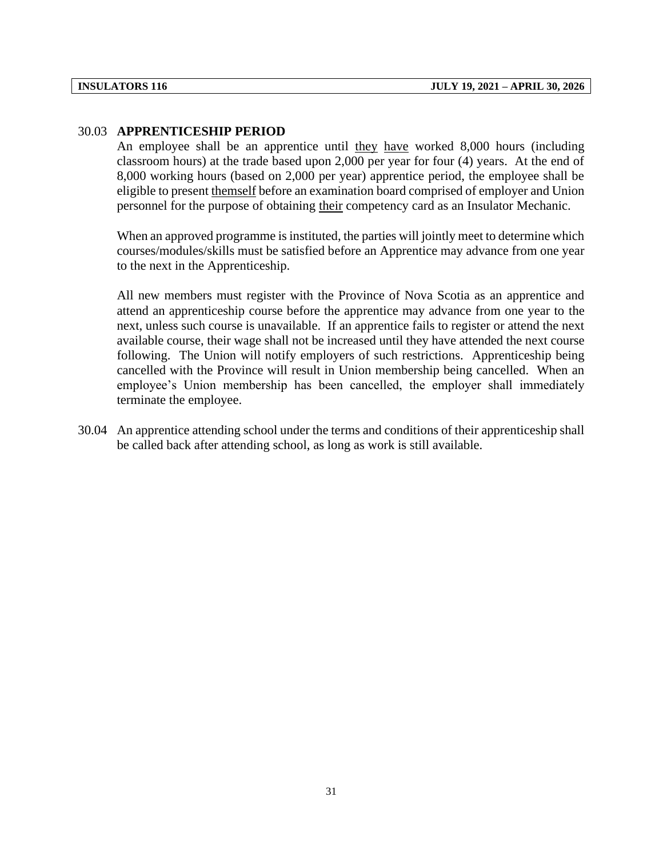#### 30.03 **APPRENTICESHIP PERIOD**

An employee shall be an apprentice until they have worked 8,000 hours (including classroom hours) at the trade based upon 2,000 per year for four (4) years. At the end of 8,000 working hours (based on 2,000 per year) apprentice period, the employee shall be eligible to present themself before an examination board comprised of employer and Union personnel for the purpose of obtaining their competency card as an Insulator Mechanic.

When an approved programme is instituted, the parties will jointly meet to determine which courses/modules/skills must be satisfied before an Apprentice may advance from one year to the next in the Apprenticeship.

All new members must register with the Province of Nova Scotia as an apprentice and attend an apprenticeship course before the apprentice may advance from one year to the next, unless such course is unavailable. If an apprentice fails to register or attend the next available course, their wage shall not be increased until they have attended the next course following. The Union will notify employers of such restrictions. Apprenticeship being cancelled with the Province will result in Union membership being cancelled. When an employee's Union membership has been cancelled, the employer shall immediately terminate the employee.

30.04 An apprentice attending school under the terms and conditions of their apprenticeship shall be called back after attending school, as long as work is still available.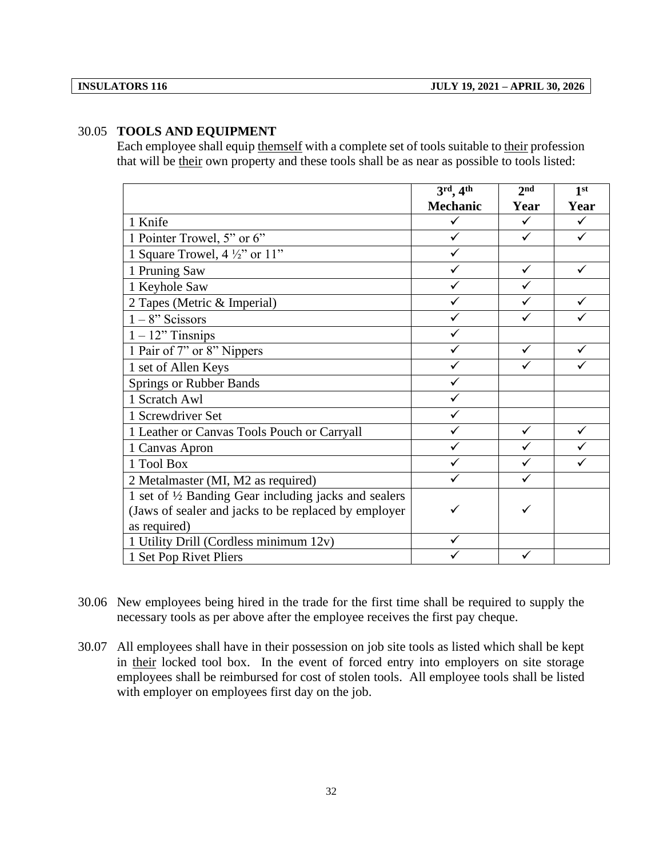#### 30.05 **TOOLS AND EQUIPMENT**

Each employee shall equip themself with a complete set of tools suitable to their profession that will be their own property and these tools shall be as near as possible to tools listed:

|                                                       | $3^{\text{rd}}$ , 4 <sup>th</sup> | 2 <sub>nd</sub> | 1 <sup>st</sup> |
|-------------------------------------------------------|-----------------------------------|-----------------|-----------------|
|                                                       | <b>Mechanic</b>                   | Year            | Year            |
| 1 Knife                                               |                                   | ✓               |                 |
| 1 Pointer Trowel, 5" or 6"                            | ✓                                 | ✓               | ✓               |
| 1 Square Trowel, $4\frac{1}{2}$ " or $11$ "           |                                   |                 |                 |
| 1 Pruning Saw                                         | ✓                                 | ✓               | ✓               |
| 1 Keyhole Saw                                         |                                   |                 |                 |
| 2 Tapes (Metric & Imperial)                           |                                   |                 |                 |
| $1 - 8$ " Scissors                                    |                                   |                 |                 |
| $1 - 12$ " Tinsnips                                   |                                   |                 |                 |
| 1 Pair of 7" or 8" Nippers                            |                                   | ✓               | ✓               |
| 1 set of Allen Keys                                   |                                   | ✓               |                 |
| <b>Springs or Rubber Bands</b>                        |                                   |                 |                 |
| 1 Scratch Awl                                         |                                   |                 |                 |
| 1 Screwdriver Set                                     |                                   |                 |                 |
| 1 Leather or Canvas Tools Pouch or Carryall           |                                   | ✓               | ✓               |
| 1 Canvas Apron                                        |                                   |                 |                 |
| 1 Tool Box                                            |                                   |                 |                 |
| 2 Metalmaster (MI, M2 as required)                    |                                   | ✓               |                 |
| 1 set of 1/2 Banding Gear including jacks and sealers |                                   |                 |                 |
| (Jaws of sealer and jacks to be replaced by employer  |                                   |                 |                 |
| as required)                                          |                                   |                 |                 |
| 1 Utility Drill (Cordless minimum 12v)                | ✓                                 |                 |                 |
| 1 Set Pop Rivet Pliers                                |                                   |                 |                 |

- 30.06 New employees being hired in the trade for the first time shall be required to supply the necessary tools as per above after the employee receives the first pay cheque.
- 30.07 All employees shall have in their possession on job site tools as listed which shall be kept in their locked tool box. In the event of forced entry into employers on site storage employees shall be reimbursed for cost of stolen tools. All employee tools shall be listed with employer on employees first day on the job.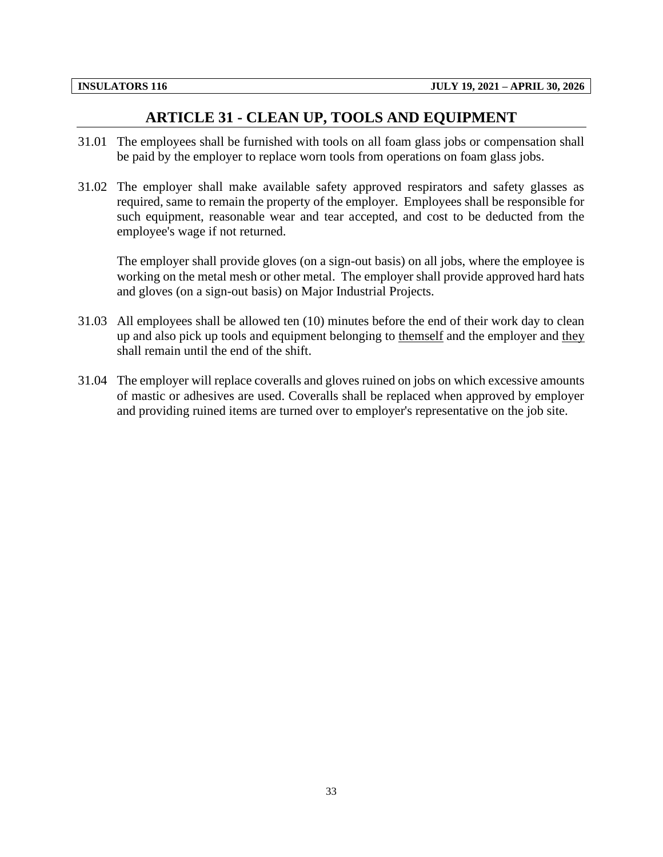## **ARTICLE 31 - CLEAN UP, TOOLS AND EQUIPMENT**

- <span id="page-35-0"></span>31.01 The employees shall be furnished with tools on all foam glass jobs or compensation shall be paid by the employer to replace worn tools from operations on foam glass jobs.
- 31.02 The employer shall make available safety approved respirators and safety glasses as required, same to remain the property of the employer. Employees shall be responsible for such equipment, reasonable wear and tear accepted, and cost to be deducted from the employee's wage if not returned.

The employer shall provide gloves (on a sign-out basis) on all jobs, where the employee is working on the metal mesh or other metal. The employer shall provide approved hard hats and gloves (on a sign-out basis) on Major Industrial Projects.

- 31.03 All employees shall be allowed ten (10) minutes before the end of their work day to clean up and also pick up tools and equipment belonging to themself and the employer and they shall remain until the end of the shift.
- 31.04 The employer will replace coveralls and gloves ruined on jobs on which excessive amounts of mastic or adhesives are used. Coveralls shall be replaced when approved by employer and providing ruined items are turned over to employer's representative on the job site.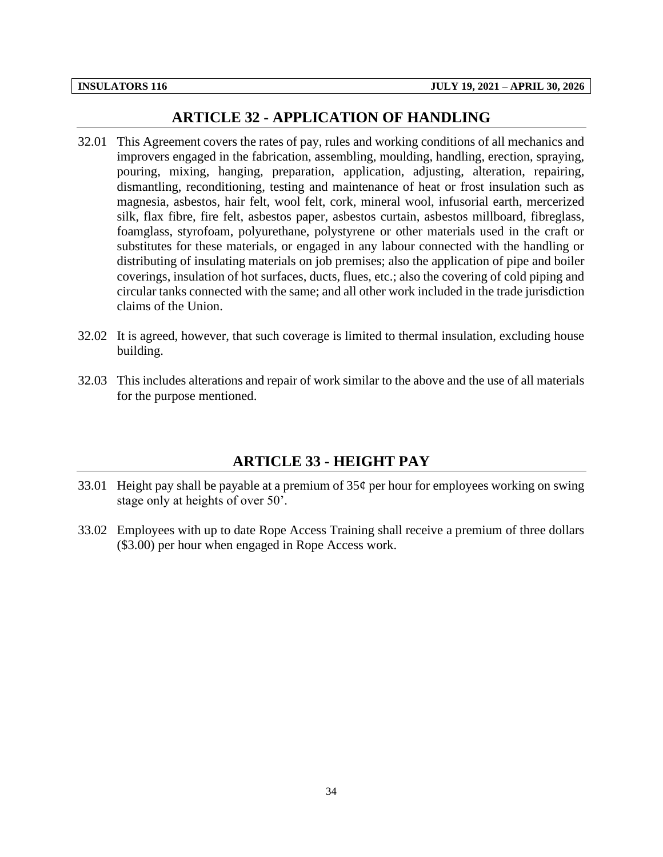#### **ARTICLE 32 - APPLICATION OF HANDLING**

- <span id="page-36-0"></span>32.01 This Agreement covers the rates of pay, rules and working conditions of all mechanics and improvers engaged in the fabrication, assembling, moulding, handling, erection, spraying, pouring, mixing, hanging, preparation, application, adjusting, alteration, repairing, dismantling, reconditioning, testing and maintenance of heat or frost insulation such as magnesia, asbestos, hair felt, wool felt, cork, mineral wool, infusorial earth, mercerized silk, flax fibre, fire felt, asbestos paper, asbestos curtain, asbestos millboard, fibreglass, foamglass, styrofoam, polyurethane, polystyrene or other materials used in the craft or substitutes for these materials, or engaged in any labour connected with the handling or distributing of insulating materials on job premises; also the application of pipe and boiler coverings, insulation of hot surfaces, ducts, flues, etc.; also the covering of cold piping and circular tanks connected with the same; and all other work included in the trade jurisdiction claims of the Union.
- 32.02 It is agreed, however, that such coverage is limited to thermal insulation, excluding house building.
- 32.03 This includes alterations and repair of work similar to the above and the use of all materials for the purpose mentioned.

#### **ARTICLE 33 - HEIGHT PAY**

- <span id="page-36-1"></span>33.01 Height pay shall be payable at a premium of  $35¢$  per hour for employees working on swing stage only at heights of over 50'.
- 33.02 Employees with up to date Rope Access Training shall receive a premium of three dollars (\$3.00) per hour when engaged in Rope Access work.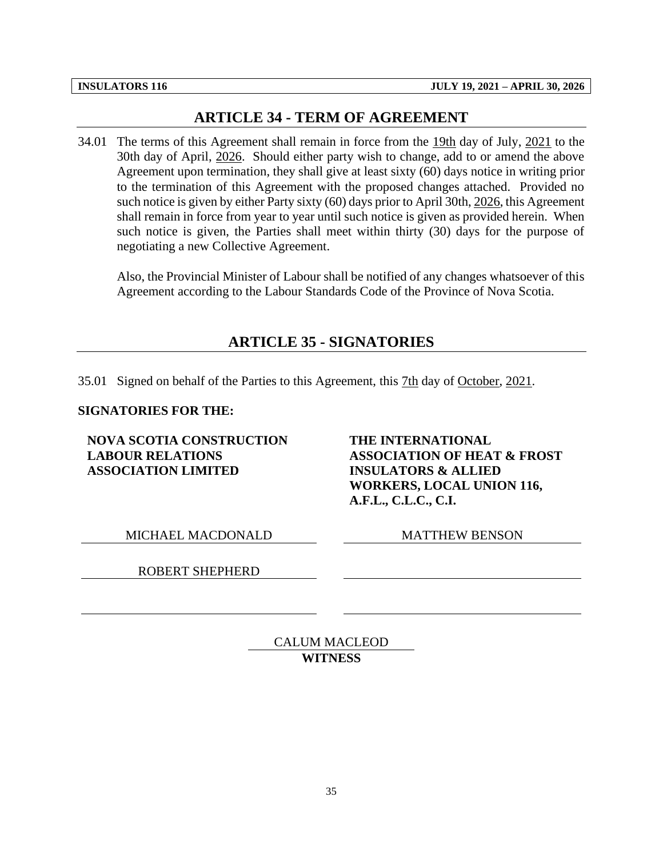## **ARTICLE 34 - TERM OF AGREEMENT**

<span id="page-37-0"></span>34.01 The terms of this Agreement shall remain in force from the 19th day of July, 2021 to the 30th day of April, 2026. Should either party wish to change, add to or amend the above Agreement upon termination, they shall give at least sixty (60) days notice in writing prior to the termination of this Agreement with the proposed changes attached. Provided no such notice is given by either Party sixty (60) days prior to April 30th, 2026, this Agreement shall remain in force from year to year until such notice is given as provided herein. When such notice is given, the Parties shall meet within thirty (30) days for the purpose of negotiating a new Collective Agreement.

<span id="page-37-1"></span>Also, the Provincial Minister of Labour shall be notified of any changes whatsoever of this Agreement according to the Labour Standards Code of the Province of Nova Scotia.

## **ARTICLE 35 - SIGNATORIES**

35.01 Signed on behalf of the Parties to this Agreement, this 7th day of October, 2021.

#### **SIGNATORIES FOR THE:**

**NOVA SCOTIA CONSTRUCTION LABOUR RELATIONS ASSOCIATION LIMITED**

**THE INTERNATIONAL ASSOCIATION OF HEAT & FROST INSULATORS & ALLIED WORKERS, LOCAL UNION 116, A.F.L., C.L.C., C.I.**

MICHAEL MACDONALD MATTHEW BENSON

ROBERT SHEPHERD

CALUM MACLEOD **WITNESS**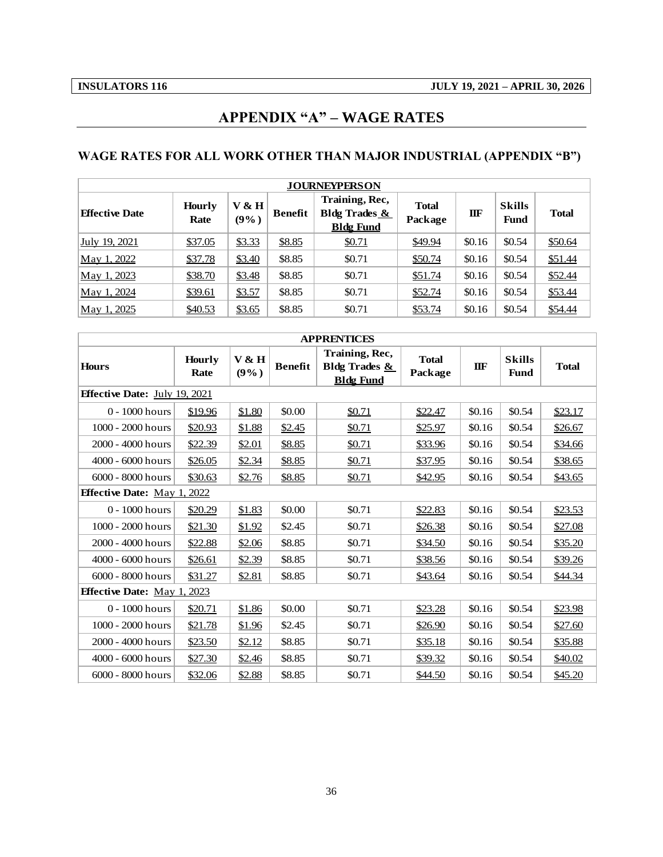## **APPENDIX "A" – WAGE RATES**

## <span id="page-38-0"></span>**WAGE RATES FOR ALL WORK OTHER THAN MAJOR INDUSTRIAL (APPENDIX "B")**

|                       |                       |               |                | <b>JOURNEYPERSON</b>                                           |                         |        |                              |              |
|-----------------------|-----------------------|---------------|----------------|----------------------------------------------------------------|-------------------------|--------|------------------------------|--------------|
| <b>Effective Date</b> | <b>Hourly</b><br>Rate | V & H<br>(9%) | <b>Benefit</b> | Training, Rec,<br><b>Bldg Trades &amp;</b><br><b>Bldg Fund</b> | <b>Total</b><br>Package | IIF    | <b>Skills</b><br><b>Fund</b> | <b>Total</b> |
| July 19, 2021         | \$37.05               | \$3.33        | \$8.85         | \$0.71                                                         | \$49.94                 | \$0.16 | \$0.54                       | \$50.64      |
| May 1, 2022           | \$37.78               | \$3.40        | \$8.85         | \$0.71                                                         | \$50.74                 | \$0.16 | \$0.54                       | \$51.44      |
| May 1, 2023           | \$38.70               | \$3.48        | \$8.85         | \$0.71                                                         | \$51.74                 | \$0.16 | \$0.54                       | \$52.44      |
| May 1, 2024           | \$39.61               | \$3.57        | \$8.85         | \$0.71                                                         | \$52.74                 | \$0.16 | \$0.54                       | \$53.44      |
| May 1, 2025           | \$40.53               | \$3.65        | \$8.85         | \$0.71                                                         | \$53.74                 | \$0.16 | \$0.54                       | \$54.44      |

|                                      |                       |                  |                | <b>APPRENTICES</b>                                             |                         |            |                              |              |
|--------------------------------------|-----------------------|------------------|----------------|----------------------------------------------------------------|-------------------------|------------|------------------------------|--------------|
| <b>Hours</b>                         | <b>Hourly</b><br>Rate | V & H<br>$(9\%)$ | <b>Benefit</b> | Training, Rec,<br><b>Bldg Trades &amp;</b><br><b>Bldg Fund</b> | <b>Total</b><br>Package | <b>IIF</b> | <b>Skills</b><br><b>Fund</b> | <b>Total</b> |
| <b>Effective Date:</b> July 19, 2021 |                       |                  |                |                                                                |                         |            |                              |              |
| $0 - 1000$ hours                     | \$19.96               | \$1.80           | \$0.00         | \$0.71                                                         | \$22.47                 | \$0.16     | \$0.54                       | \$23.17      |
| $1000 - 2000$ hours                  | \$20.93               | \$1.88           | \$2.45         | \$0.71                                                         | \$25.97                 | \$0.16     | \$0.54                       | \$26.67      |
| 2000 - 4000 hours                    | \$22.39               | \$2.01           | \$8.85         | \$0.71                                                         | \$33.96                 | \$0.16     | \$0.54                       | \$34.66      |
| 4000 - 6000 hours                    | \$26.05               | \$2.34           | \$8.85         | \$0.71                                                         | \$37.95                 | \$0.16     | \$0.54                       | \$38.65      |
| 6000 - 8000 hours                    | \$30.63               | \$2.76           | \$8.85         | \$0.71                                                         | \$42.95                 | \$0.16     | \$0.54                       | \$43.65      |
| <b>Effective Date:</b> May 1.        | , 2022                |                  |                |                                                                |                         |            |                              |              |
| $0 - 1000$ hours                     | \$20.29               | \$1.83           | \$0.00         | \$0.71                                                         | \$22.83                 | \$0.16     | \$0.54                       | \$23.53      |
| $1000 - 2000$ hours                  | \$21.30               | \$1.92           | \$2.45         | \$0.71                                                         | \$26.38                 | \$0.16     | \$0.54                       | \$27.08      |
| $2000 - 4000$ hours                  | \$22.88               | \$2.06           | \$8.85         | \$0.71                                                         | \$34.50                 | \$0.16     | \$0.54                       | \$35.20      |
| 4000 - 6000 hours                    | \$26.61               | \$2.39           | \$8.85         | \$0.71                                                         | \$38.56                 | \$0.16     | \$0.54                       | \$39.26      |
| $6000 - 8000$ hours                  | \$31.27               | \$2.81           | \$8.85         | \$0.71                                                         | \$43.64                 | \$0.16     | \$0.54                       | \$44.34      |
| <b>Effective Date:</b> May 1, 2023   |                       |                  |                |                                                                |                         |            |                              |              |
| $0 - 1000$ hours                     | \$20.71               | \$1.86           | \$0.00         | \$0.71                                                         | \$23.28                 | \$0.16     | \$0.54                       | \$23.98      |
| $1000 - 2000$ hours                  | \$21.78               | \$1.96           | \$2.45         | \$0.71                                                         | \$26.90                 | \$0.16     | \$0.54                       | \$27.60      |
| 2000 - 4000 hours                    | \$23.50               | \$2.12           | \$8.85         | \$0.71                                                         | \$35.18                 | \$0.16     | \$0.54                       | \$35.88      |
| 4000 - 6000 hours                    | \$27.30               | \$2.46           | \$8.85         | \$0.71                                                         | \$39.32                 | \$0.16     | \$0.54                       | \$40.02      |
| 6000 - 8000 hours                    | \$32.06               | \$2.88           | \$8.85         | \$0.71                                                         | \$44.50                 | \$0.16     | \$0.54                       | \$45.20      |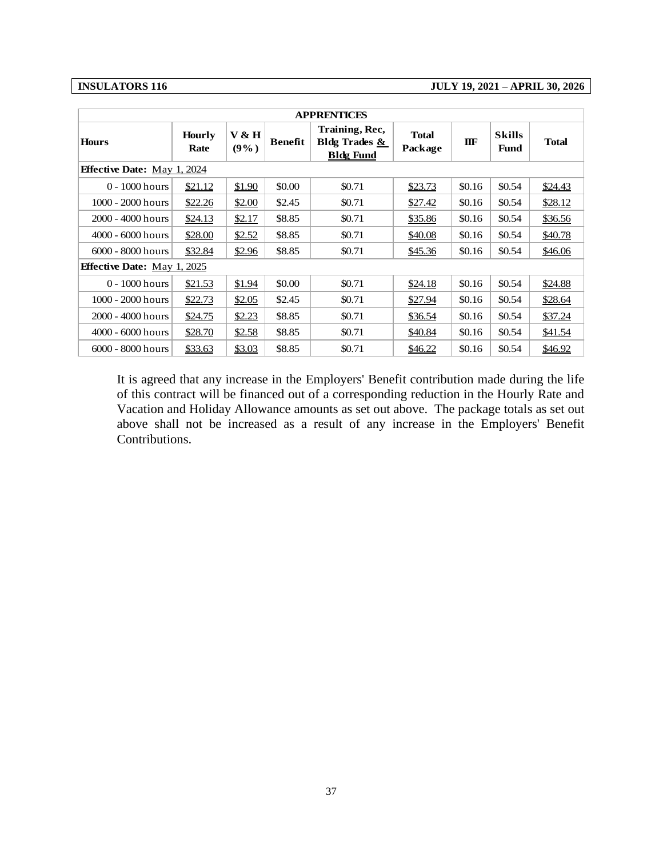#### **INSULATORS 116 JULY 19, 2021 – APRIL 30, 2026**

|                                    |                       |               |                | <b>APPRENTICES</b>                                             |                         |        |                              |              |
|------------------------------------|-----------------------|---------------|----------------|----------------------------------------------------------------|-------------------------|--------|------------------------------|--------------|
| <b>Hours</b>                       | <b>Hourly</b><br>Rate | V & H<br>(9%) | <b>Benefit</b> | Training, Rec,<br><b>Bldg Trades &amp;</b><br><b>Bldg Fund</b> | <b>Total</b><br>Package | IIF    | <b>Skills</b><br><b>Fund</b> | <b>Total</b> |
| <b>Effective Date:</b> May 1, 2024 |                       |               |                |                                                                |                         |        |                              |              |
| 0 - 1000 hours                     | \$21.12               | \$1.90        | \$0.00         | \$0.71                                                         | \$23.73                 | \$0.16 | \$0.54                       | \$24.43      |
| 1000 - 2000 hours                  | \$22.26               | \$2.00        | \$2.45         | \$0.71                                                         | \$27.42                 | \$0.16 | \$0.54                       | \$28.12      |
| 2000 - 4000 hours                  | \$24.13               | \$2.17        | \$8.85         | \$0.71                                                         | \$35.86                 | \$0.16 | \$0.54                       | \$36.56      |
| 4000 - 6000 hours                  | \$28.00               | \$2.52        | \$8.85         | \$0.71                                                         | \$40.08                 | \$0.16 | \$0.54                       | \$40.78      |
| 6000 - 8000 hours                  | \$32.84               | \$2.96        | \$8.85         | \$0.71                                                         | \$45.36                 | \$0.16 | \$0.54                       | \$46.06      |
| <b>Effective Date:</b> May 1, 2025 |                       |               |                |                                                                |                         |        |                              |              |
| 0 - 1000 hours                     | \$21.53               | \$1.94        | \$0.00         | \$0.71                                                         | \$24.18                 | \$0.16 | \$0.54                       | \$24.88      |
| 1000 - 2000 hours                  | \$22.73               | \$2.05        | \$2.45         | \$0.71                                                         | \$27.94                 | \$0.16 | \$0.54                       | \$28.64      |
| 2000 - 4000 hours                  | \$24.75               | \$2.23        | \$8.85         | \$0.71                                                         | \$36.54                 | \$0.16 | \$0.54                       | \$37.24      |
| 4000 - 6000 hours                  | \$28.70               | \$2.58        | \$8.85         | \$0.71                                                         | \$40.84                 | \$0.16 | \$0.54                       | \$41.54      |
| 6000 - 8000 hours                  | \$33.63               | \$3.03        | \$8.85         | \$0.71                                                         | \$46.22                 | \$0.16 | \$0.54                       | \$46.92      |
|                                    |                       |               |                |                                                                |                         |        |                              |              |
|                                    |                       |               |                |                                                                |                         |        |                              |              |
|                                    |                       |               |                |                                                                |                         |        |                              |              |
|                                    |                       |               |                |                                                                |                         |        |                              |              |
|                                    |                       |               |                |                                                                |                         |        |                              |              |
|                                    |                       |               |                |                                                                |                         |        |                              |              |
|                                    |                       |               |                |                                                                |                         |        |                              |              |
|                                    |                       |               |                |                                                                |                         |        |                              |              |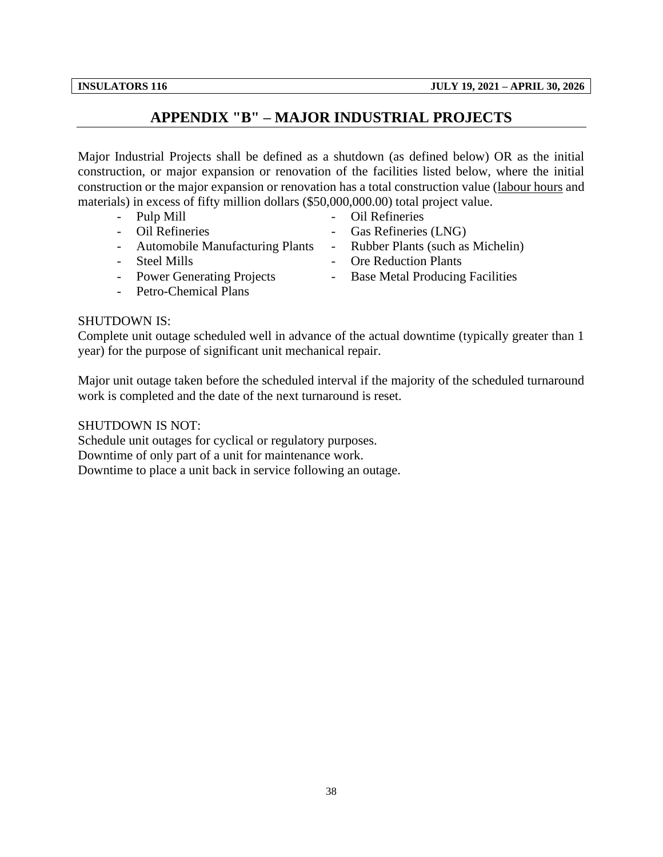## **APPENDIX "B" – MAJOR INDUSTRIAL PROJECTS**

<span id="page-40-0"></span>Major Industrial Projects shall be defined as a shutdown (as defined below) OR as the initial construction, or major expansion or renovation of the facilities listed below, where the initial construction or the major expansion or renovation has a total construction value (labour hours and materials) in excess of fifty million dollars (\$50,000,000.00) total project value.

- 
- 
- 
- 
- Power Generating Projects Base Metal Producing Facilities
- Petro-Chemical Plans

### SHUTDOWN IS:

Complete unit outage scheduled well in advance of the actual downtime (typically greater than 1 year) for the purpose of significant unit mechanical repair.

Major unit outage taken before the scheduled interval if the majority of the scheduled turnaround work is completed and the date of the next turnaround is reset.

SHUTDOWN IS NOT:

Schedule unit outages for cyclical or regulatory purposes.

Downtime of only part of a unit for maintenance work.

Downtime to place a unit back in service following an outage.

- Pulp Mill  **Pulp Mill** Oil Refineries
- Oil Refineries Gas Refineries (LNG)
- Automobile Manufacturing Plants Rubber Plants (such as Michelin)
- Steel Mills Ore Reduction Plants
	-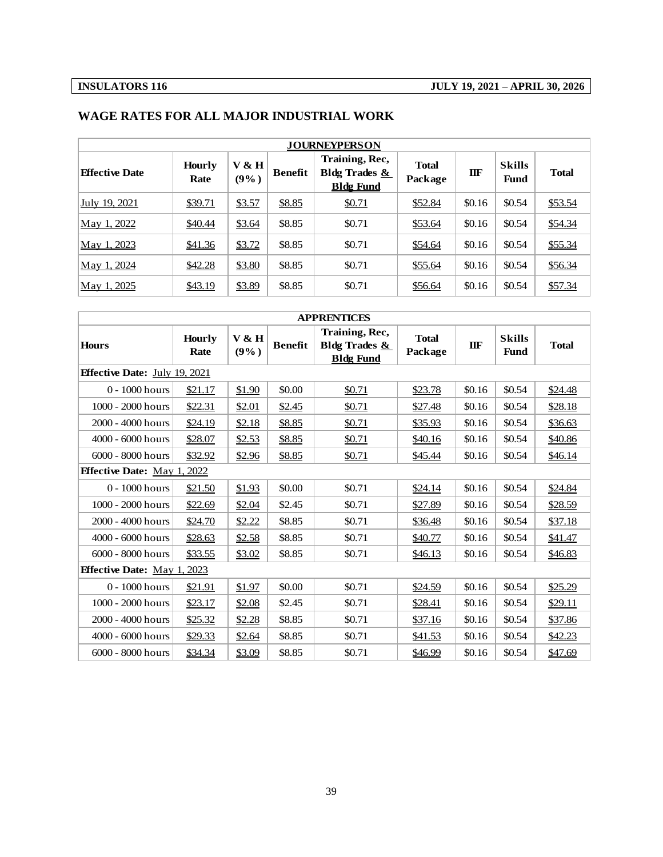| <b>JOURNEYPERSON</b>  |                       |                  |         |                                                     |                         |         |                              |              |  |
|-----------------------|-----------------------|------------------|---------|-----------------------------------------------------|-------------------------|---------|------------------------------|--------------|--|
| <b>Effective Date</b> | <b>Hourly</b><br>Rate | V & H<br>$(9\%)$ | Benefit | Training, Rec,<br>Bldg Trades &<br><b>Bldg Fund</b> | <b>Total</b><br>Package | $\Pi$ F | <b>Skills</b><br><b>Fund</b> | <b>Total</b> |  |
| July 19, 2021         | \$39.71               | \$3.57           | \$8.85  | \$0.71                                              | \$52.84                 | \$0.16  | \$0.54                       | \$53.54      |  |
| May 1, 2022           | \$40.44               | \$3.64           | \$8.85  | \$0.71                                              | \$53.64                 | \$0.16  | \$0.54                       | \$54.34      |  |
| May 1, 2023           | \$41.36               | \$3.72           | \$8.85  | \$0.71                                              | \$54.64                 | \$0.16  | \$0.54                       | \$55.34      |  |
| May 1, 2024           | \$42.28               | \$3.80           | \$8.85  | \$0.71                                              | \$55.64                 | \$0.16  | \$0.54                       | \$56.34      |  |
| May 1, 2025           | \$43.19               | \$3.89           | \$8.85  | \$0.71                                              | \$56.64                 | \$0.16  | \$0.54                       | \$57.34      |  |

### **WAGE RATES FOR ALL MAJOR INDUSTRIAL WORK**

|                                      |                |               |                | <b>APPRENTICES</b><br>Training, Rec, |                         |            |                              |              |
|--------------------------------------|----------------|---------------|----------------|--------------------------------------|-------------------------|------------|------------------------------|--------------|
| <b>Hours</b>                         | Hourly<br>Rate | V & H<br>(9%) | <b>Benefit</b> | Bldg Trades &<br><b>Bldg Fund</b>    | <b>Total</b><br>Package | <b>TIF</b> | <b>Skills</b><br><b>Fund</b> | <b>Total</b> |
| <b>Effective Date:</b> July 19, 2021 |                |               |                |                                      |                         |            |                              |              |
| $0 - 1000$ hours                     | \$21.17        | \$1.90        | \$0.00         | \$0.71                               | \$23.78                 | \$0.16     | \$0.54                       | \$24.48      |
| 1000 - 2000 hours                    | \$22.31        | \$2.01        | \$2.45         | \$0.71                               | \$27.48                 | \$0.16     | \$0.54                       | \$28.18      |
| 2000 - 4000 hours                    | \$24.19        | \$2.18        | \$8.85         | \$0.71                               | \$35.93                 | \$0.16     | \$0.54                       | \$36.63      |
| 4000 - 6000 hours                    | \$28.07        | \$2.53        | \$8.85         | \$0.71                               | \$40.16                 | \$0.16     | \$0.54                       | \$40.86      |
| 6000 - 8000 hours                    | \$32.92        | \$2.96        | \$8.85         | \$0.71                               | \$45.44                 | \$0.16     | \$0.54                       | \$46.14      |
| <b>Effective Date:</b> May 1, 2022   |                |               |                |                                      |                         |            |                              |              |
| $0 - 1000$ hours                     | \$21.50        | \$1.93        | \$0.00         | \$0.71                               | \$24.14                 | \$0.16     | \$0.54                       | \$24.84      |
| 1000 - 2000 hours                    | \$22.69        | \$2.04        | \$2.45         | \$0.71                               | \$27.89                 | \$0.16     | \$0.54                       | \$28.59      |
| $2000 - 4000$ hours                  | \$24.70        | \$2.22        | \$8.85         | \$0.71                               | \$36.48                 | \$0.16     | \$0.54                       | \$37.18      |
| 4000 - 6000 hours                    | \$28.63        | \$2.58        | \$8.85         | \$0.71                               | \$40.77                 | \$0.16     | \$0.54                       | \$41.47      |
| $6000 - 8000$ hours                  | \$33.55        | \$3.02        | \$8.85         | \$0.71                               | \$46.13                 | \$0.16     | \$0.54                       | \$46.83      |
| <b>Effective Date:</b> May 1, 2023   |                |               |                |                                      |                         |            |                              |              |
| $0 - 1000$ hours                     | \$21.91        | \$1.97        | \$0.00         | \$0.71                               | \$24.59                 | \$0.16     | \$0.54                       | \$25.29      |
| 1000 - 2000 hours                    | \$23.17        | \$2.08        | \$2.45         | \$0.71                               | \$28.41                 | \$0.16     | \$0.54                       | \$29.11      |
| 2000 - 4000 hours                    | \$25.32        | \$2.28        | \$8.85         | \$0.71                               | \$37.16                 | \$0.16     | \$0.54                       | \$37.86      |
| $4000 - 6000$ hours                  | \$29.33        | \$2.64        | \$8.85         | \$0.71                               | \$41.53                 | \$0.16     | \$0.54                       | \$42.23      |
| $6000 - 8000$ hours                  | \$34.34        | \$3.09        | \$8.85         | \$0.71                               | \$46.99                 | \$0.16     | \$0.54                       | \$47.69      |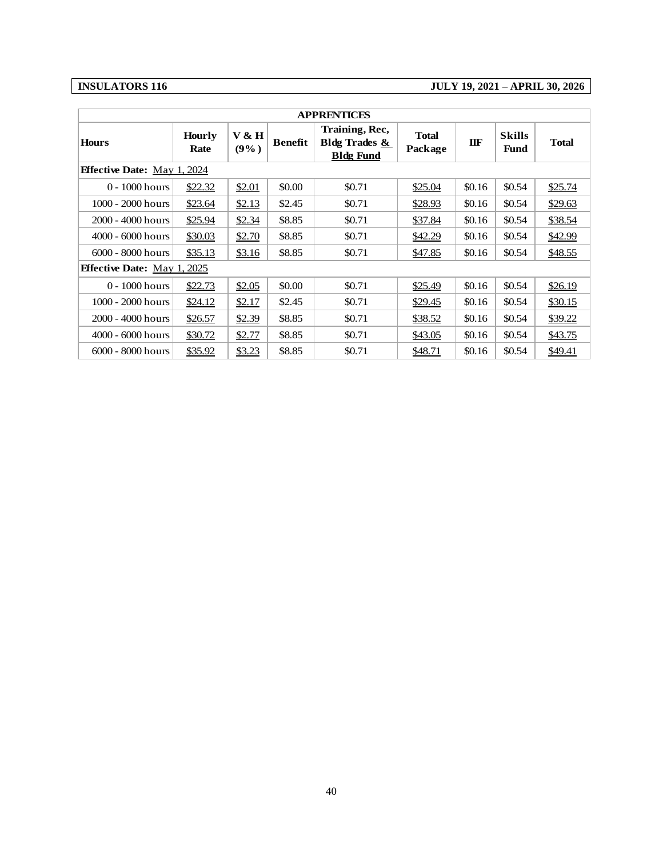### **INSULATORS 116 JULY 19, 2021 – APRIL 30, 2026**

|                                    |                |                  |                | <b>APPRENTICES</b>                                             |                         |              |                              |              |
|------------------------------------|----------------|------------------|----------------|----------------------------------------------------------------|-------------------------|--------------|------------------------------|--------------|
| <b>Hours</b>                       | Hourly<br>Rate | V & H<br>$(9\%)$ | <b>Benefit</b> | Training, Rec,<br><b>Bldg Trades &amp;</b><br><b>Bldg Fund</b> | <b>Total</b><br>Package | $I\!I\!I\!F$ | <b>Skills</b><br><b>Fund</b> | <b>Total</b> |
| <b>Effective Date:</b> May 1, 2024 |                |                  |                |                                                                |                         |              |                              |              |
| 0 - 1000 hours                     | \$22.32        | \$2.01           | \$0.00         | \$0.71                                                         | \$25.04                 | \$0.16       | \$0.54                       | \$25.74      |
| 1000 - 2000 hours                  | \$23.64        | \$2.13           | \$2.45         | \$0.71                                                         | \$28.93                 | \$0.16       | \$0.54                       | \$29.63      |
| 2000 - 4000 hours                  | \$25.94        | \$2.34           | \$8.85         | \$0.71                                                         | \$37.84                 | \$0.16       | \$0.54                       | \$38.54      |
| 4000 - 6000 hours                  | \$30.03        | \$2.70           | \$8.85         | \$0.71                                                         | \$42.29                 | \$0.16       | \$0.54                       | \$42.99      |
| 6000 - 8000 hours                  | \$35.13        | \$3.16           | \$8.85         | \$0.71                                                         | \$47.85                 | \$0.16       | \$0.54                       | \$48.55      |
| <b>Effective Date:</b> May 1, 2025 |                |                  |                |                                                                |                         |              |                              |              |
| 0 - 1000 hours                     | \$22.73        | \$2.05           | \$0.00         | \$0.71                                                         | \$25.49                 | \$0.16       | \$0.54                       | \$26.19      |
| 1000 - 2000 hours                  | \$24.12        | \$2.17           | \$2.45         | \$0.71                                                         | \$29.45                 | \$0.16       | \$0.54                       | \$30.15      |
| 2000 - 4000 hours                  | \$26.57        | \$2.39           | \$8.85         | \$0.71                                                         | \$38.52                 | \$0.16       | \$0.54                       | \$39.22      |
| 4000 - 6000 hours                  | \$30.72        | \$2.77           | \$8.85         | \$0.71                                                         | \$43.05                 | \$0.16       | \$0.54                       | \$43.75      |
| 6000 - 8000 hours                  | \$35.92        | \$3.23           | \$8.85         | \$0.71                                                         | \$48.71                 | \$0.16       | \$0.54                       | \$49.41      |
|                                    |                |                  |                |                                                                |                         |              |                              |              |
|                                    |                |                  |                |                                                                |                         |              |                              |              |
|                                    |                |                  |                | 40                                                             |                         |              |                              |              |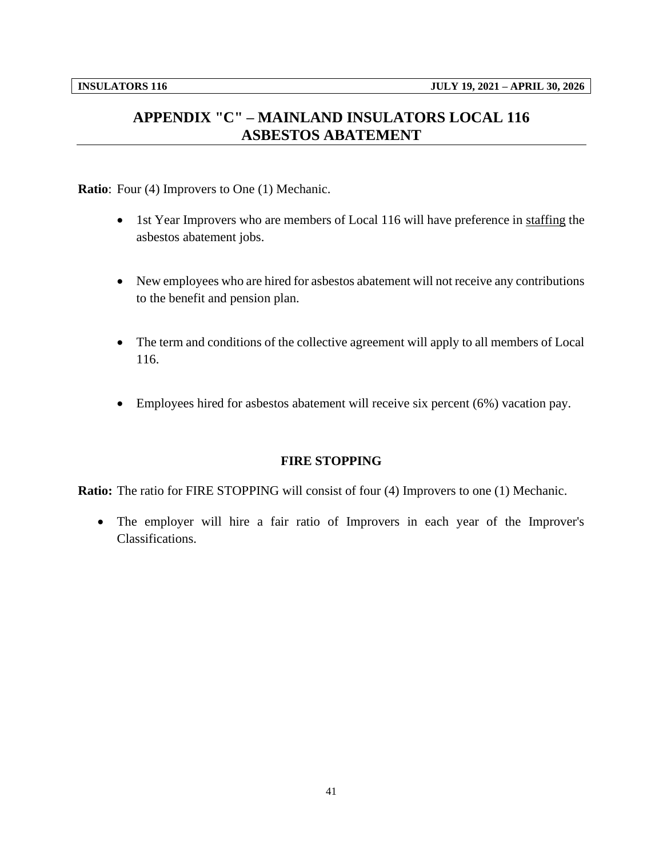## <span id="page-43-0"></span>**APPENDIX "C" – MAINLAND INSULATORS LOCAL 116 ASBESTOS ABATEMENT**

**Ratio**: Four (4) Improvers to One (1) Mechanic.

- 1st Year Improvers who are members of Local 116 will have preference in staffing the asbestos abatement jobs.
- New employees who are hired for asbestos abatement will not receive any contributions to the benefit and pension plan.
- The term and conditions of the collective agreement will apply to all members of Local 116.
- Employees hired for asbestos abatement will receive six percent (6%) vacation pay.

#### **FIRE STOPPING**

**Ratio:** The ratio for FIRE STOPPING will consist of four (4) Improvers to one (1) Mechanic.

• The employer will hire a fair ratio of Improvers in each year of the Improver's Classifications.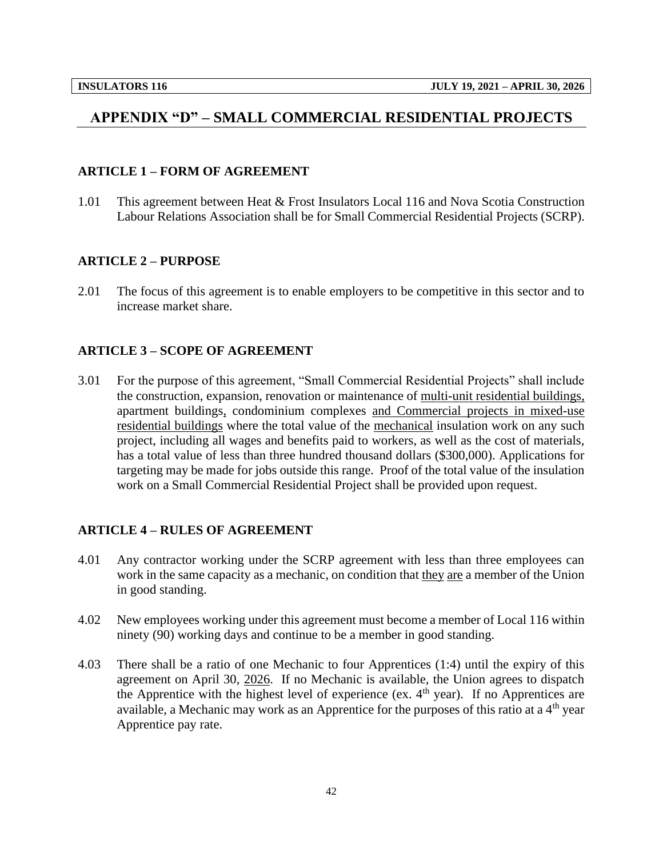## <span id="page-44-0"></span>**APPENDIX "D" – SMALL COMMERCIAL RESIDENTIAL PROJECTS**

#### **ARTICLE 1 – FORM OF AGREEMENT**

1.01 This agreement between Heat & Frost Insulators Local 116 and Nova Scotia Construction Labour Relations Association shall be for Small Commercial Residential Projects (SCRP).

#### **ARTICLE 2 – PURPOSE**

2.01 The focus of this agreement is to enable employers to be competitive in this sector and to increase market share.

#### **ARTICLE 3 – SCOPE OF AGREEMENT**

3.01 For the purpose of this agreement, "Small Commercial Residential Projects" shall include the construction, expansion, renovation or maintenance of multi-unit residential buildings, apartment buildings, condominium complexes and Commercial projects in mixed-use residential buildings where the total value of the mechanical insulation work on any such project, including all wages and benefits paid to workers, as well as the cost of materials, has a total value of less than three hundred thousand dollars (\$300,000). Applications for targeting may be made for jobs outside this range. Proof of the total value of the insulation work on a Small Commercial Residential Project shall be provided upon request.

### **ARTICLE 4 – RULES OF AGREEMENT**

- 4.01 Any contractor working under the SCRP agreement with less than three employees can work in the same capacity as a mechanic, on condition that they are a member of the Union in good standing.
- 4.02 New employees working under this agreement must become a member of Local 116 within ninety (90) working days and continue to be a member in good standing.
- 4.03 There shall be a ratio of one Mechanic to four Apprentices (1:4) until the expiry of this agreement on April 30, 2026. If no Mechanic is available, the Union agrees to dispatch the Apprentice with the highest level of experience (ex.  $4<sup>th</sup>$  year). If no Apprentices are available, a Mechanic may work as an Apprentice for the purposes of this ratio at a  $4<sup>th</sup>$  year Apprentice pay rate.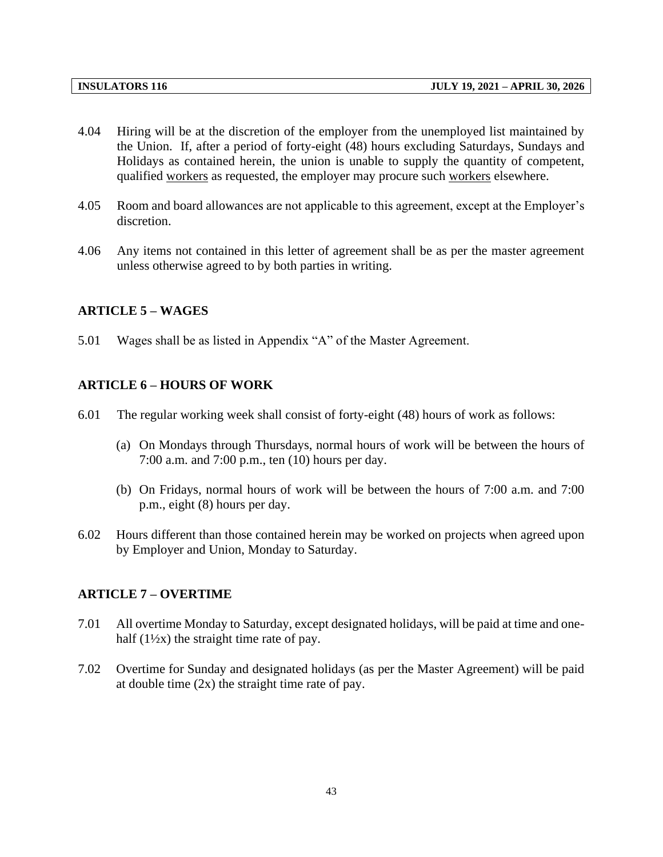- 4.04 Hiring will be at the discretion of the employer from the unemployed list maintained by the Union. If, after a period of forty-eight (48) hours excluding Saturdays, Sundays and Holidays as contained herein, the union is unable to supply the quantity of competent, qualified workers as requested, the employer may procure such workers elsewhere.
- 4.05 Room and board allowances are not applicable to this agreement, except at the Employer's discretion.
- 4.06 Any items not contained in this letter of agreement shall be as per the master agreement unless otherwise agreed to by both parties in writing.

#### **ARTICLE 5 – WAGES**

5.01 Wages shall be as listed in Appendix "A" of the Master Agreement.

#### **ARTICLE 6 – HOURS OF WORK**

- 6.01 The regular working week shall consist of forty-eight (48) hours of work as follows:
	- (a) On Mondays through Thursdays, normal hours of work will be between the hours of 7:00 a.m. and 7:00 p.m., ten (10) hours per day.
	- (b) On Fridays, normal hours of work will be between the hours of 7:00 a.m. and 7:00 p.m., eight (8) hours per day.
- 6.02 Hours different than those contained herein may be worked on projects when agreed upon by Employer and Union, Monday to Saturday.

#### **ARTICLE 7 – OVERTIME**

- 7.01 All overtime Monday to Saturday, except designated holidays, will be paid at time and onehalf  $(1\frac{1}{2}x)$  the straight time rate of pay.
- 7.02 Overtime for Sunday and designated holidays (as per the Master Agreement) will be paid at double time (2x) the straight time rate of pay.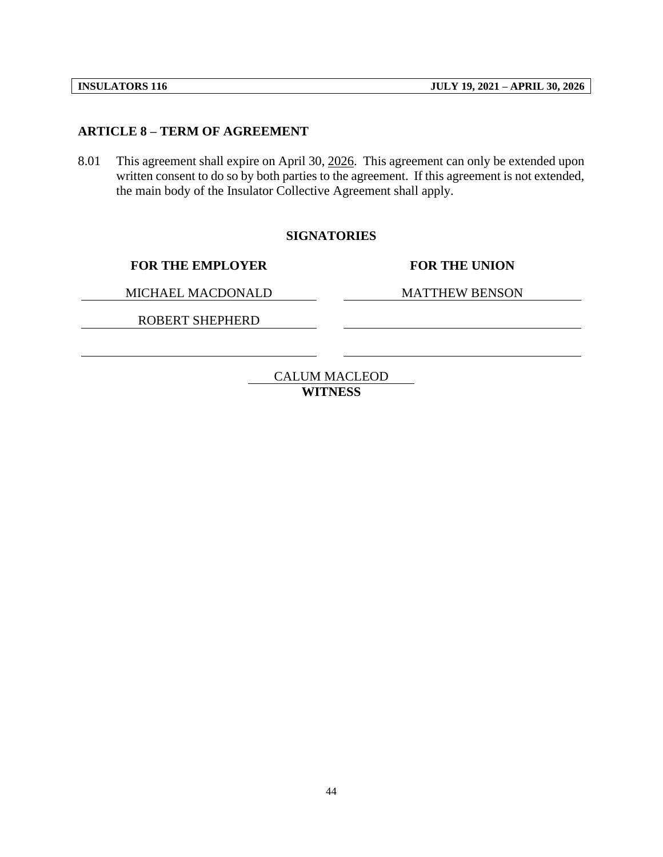#### **ARTICLE 8 – TERM OF AGREEMENT**

8.01 This agreement shall expire on April 30, 2026. This agreement can only be extended upon written consent to do so by both parties to the agreement. If this agreement is not extended, the main body of the Insulator Collective Agreement shall apply.

#### **SIGNATORIES**

**FOR THE EMPLOYER FOR THE UNION**

MICHAEL MACDONALD MATTHEW BENSON

ROBERT SHEPHERD

CALUM MACLEOD **WITNESS**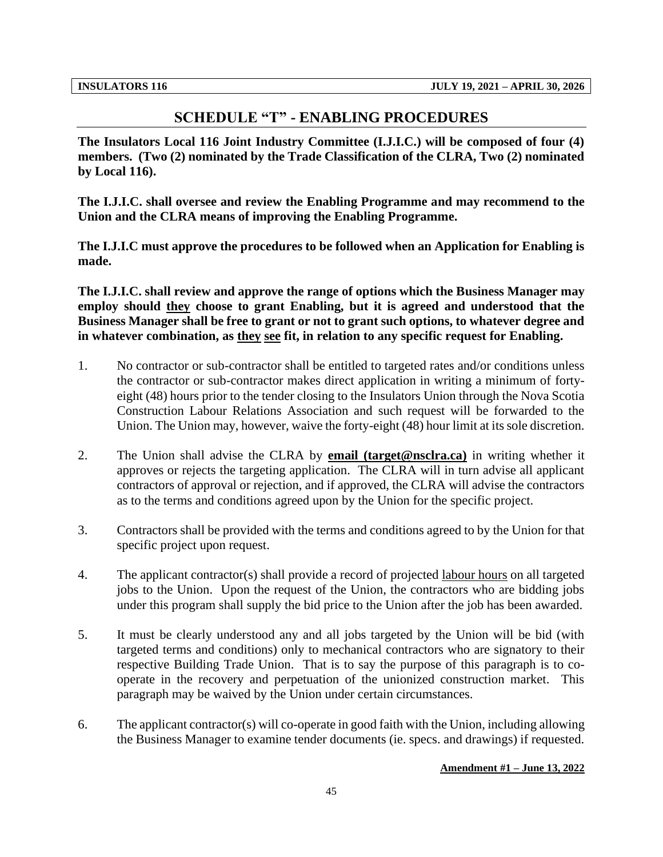### **SCHEDULE "T" - ENABLING PROCEDURES**

<span id="page-47-0"></span>**The Insulators Local 116 Joint Industry Committee (I.J.I.C.) will be composed of four (4) members. (Two (2) nominated by the Trade Classification of the CLRA, Two (2) nominated by Local 116).**

**The I.J.I.C. shall oversee and review the Enabling Programme and may recommend to the Union and the CLRA means of improving the Enabling Programme.** 

**The I.J.I.C must approve the procedures to be followed when an Application for Enabling is made.**

**The I.J.I.C. shall review and approve the range of options which the Business Manager may employ should they choose to grant Enabling, but it is agreed and understood that the Business Manager shall be free to grant or not to grant such options, to whatever degree and in whatever combination, as they see fit, in relation to any specific request for Enabling.**

- 1. No contractor or sub-contractor shall be entitled to targeted rates and/or conditions unless the contractor or sub-contractor makes direct application in writing a minimum of fortyeight (48) hours prior to the tender closing to the Insulators Union through the Nova Scotia Construction Labour Relations Association and such request will be forwarded to the Union. The Union may, however, waive the forty-eight (48) hour limit at its sole discretion.
- 2. The Union shall advise the CLRA by **email (target@nsclra.ca)** in writing whether it approves or rejects the targeting application. The CLRA will in turn advise all applicant contractors of approval or rejection, and if approved, the CLRA will advise the contractors as to the terms and conditions agreed upon by the Union for the specific project.
- 3. Contractors shall be provided with the terms and conditions agreed to by the Union for that specific project upon request.
- 4. The applicant contractor(s) shall provide a record of projected labour hours on all targeted jobs to the Union. Upon the request of the Union, the contractors who are bidding jobs under this program shall supply the bid price to the Union after the job has been awarded.
- 5. It must be clearly understood any and all jobs targeted by the Union will be bid (with targeted terms and conditions) only to mechanical contractors who are signatory to their respective Building Trade Union. That is to say the purpose of this paragraph is to cooperate in the recovery and perpetuation of the unionized construction market. This paragraph may be waived by the Union under certain circumstances.
- 6. The applicant contractor(s) will co-operate in good faith with the Union, including allowing the Business Manager to examine tender documents (ie. specs. and drawings) if requested.

#### **Amendment #1 – June 13, 2022**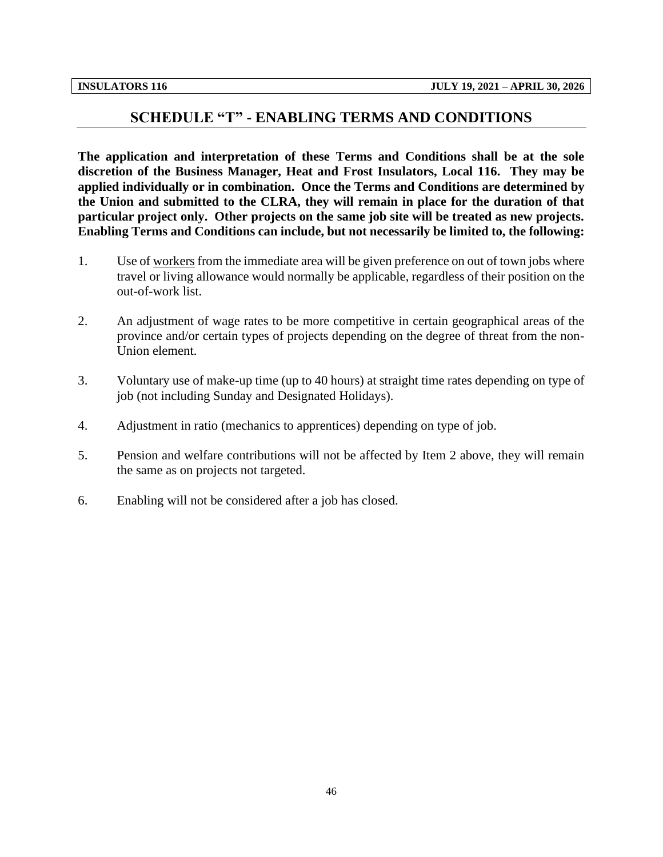#### **SCHEDULE "T" - ENABLING TERMS AND CONDITIONS**

<span id="page-48-0"></span>**The application and interpretation of these Terms and Conditions shall be at the sole discretion of the Business Manager, Heat and Frost Insulators, Local 116. They may be applied individually or in combination. Once the Terms and Conditions are determined by the Union and submitted to the CLRA, they will remain in place for the duration of that particular project only. Other projects on the same job site will be treated as new projects. Enabling Terms and Conditions can include, but not necessarily be limited to, the following:**

- 1. Use of workers from the immediate area will be given preference on out of town jobs where travel or living allowance would normally be applicable, regardless of their position on the out-of-work list.
- 2. An adjustment of wage rates to be more competitive in certain geographical areas of the province and/or certain types of projects depending on the degree of threat from the non-Union element.
- 3. Voluntary use of make-up time (up to 40 hours) at straight time rates depending on type of job (not including Sunday and Designated Holidays).
- 4. Adjustment in ratio (mechanics to apprentices) depending on type of job.
- 5. Pension and welfare contributions will not be affected by Item 2 above, they will remain the same as on projects not targeted.
- 6. Enabling will not be considered after a job has closed.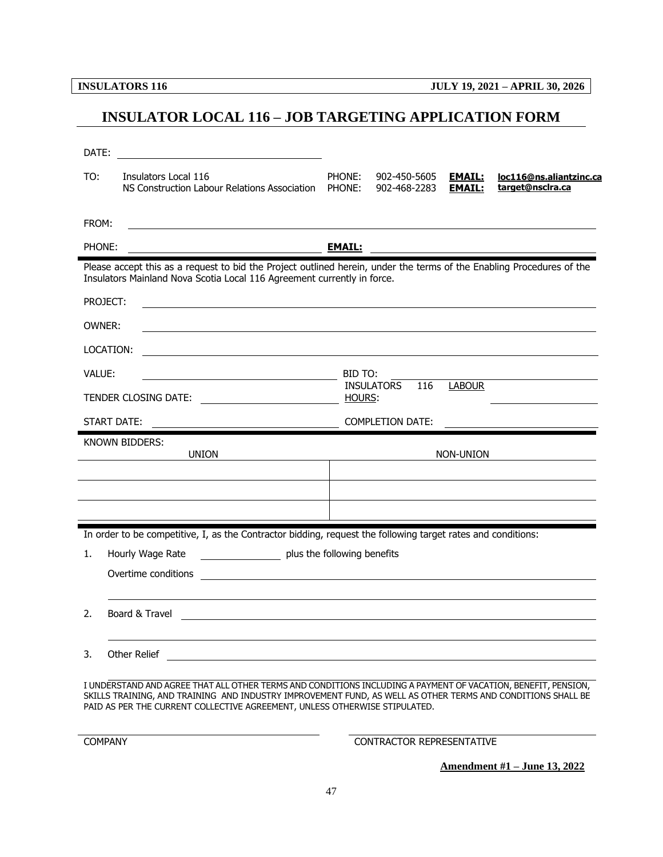**INSULATORS 116 JULY 19, 2021 – APRIL 30, 2026**

## <span id="page-49-0"></span>**INSULATOR LOCAL 116 – JOB TARGETING APPLICATION FORM**

|        | DATE:<br><u> 1980 - Jan Samuel Barbara, martin di</u>                                                                                                                                            |                                                                                                                                    |                              |                                |                                                                                                                       |  |  |  |
|--------|--------------------------------------------------------------------------------------------------------------------------------------------------------------------------------------------------|------------------------------------------------------------------------------------------------------------------------------------|------------------------------|--------------------------------|-----------------------------------------------------------------------------------------------------------------------|--|--|--|
| TO:    | Insulators Local 116<br>NS Construction Labour Relations Association                                                                                                                             | PHONE:<br>PHONE:                                                                                                                   | 902-450-5605<br>902-468-2283 | <b>EMAIL:</b><br><b>EMAIL:</b> | loc116@ns.aliantzinc.ca<br>target@nsclra.ca                                                                           |  |  |  |
| FROM:  |                                                                                                                                                                                                  |                                                                                                                                    |                              |                                |                                                                                                                       |  |  |  |
| PHONE: |                                                                                                                                                                                                  | <u>EMAIL:</u>                                                                                                                      |                              |                                | <u> 1989 - Johann Barbara, martin amerikan basal dan berasal dan berasal dalam basal dan berasal dalam berasal da</u> |  |  |  |
|        | Please accept this as a request to bid the Project outlined herein, under the terms of the Enabling Procedures of the<br>Insulators Mainland Nova Scotia Local 116 Agreement currently in force. |                                                                                                                                    |                              |                                |                                                                                                                       |  |  |  |
|        | PROJECT:                                                                                                                                                                                         |                                                                                                                                    |                              |                                |                                                                                                                       |  |  |  |
| OWNER: |                                                                                                                                                                                                  |                                                                                                                                    |                              |                                |                                                                                                                       |  |  |  |
|        | LOCATION:                                                                                                                                                                                        |                                                                                                                                    |                              |                                |                                                                                                                       |  |  |  |
| VALUE: | <u> 1989 - Johann Barn, fransk politik (</u>                                                                                                                                                     | BID TO:                                                                                                                            |                              |                                |                                                                                                                       |  |  |  |
|        | TENDER CLOSING DATE:                                                                                                                                                                             | HOURS:                                                                                                                             | 116<br><b>INSULATORS</b>     | LABOUR                         |                                                                                                                       |  |  |  |
|        | START DATE:                                                                                                                                                                                      |                                                                                                                                    | <b>COMPLETION DATE:</b>      |                                |                                                                                                                       |  |  |  |
|        | KNOWN BIDDERS:<br><b>UNION</b>                                                                                                                                                                   | NON-UNION<br><u> 1989 - Johann Barbara, martin amerikan basar dan berasal dan berasal dalam basar dalam basar dalam basar dala</u> |                              |                                |                                                                                                                       |  |  |  |
|        |                                                                                                                                                                                                  |                                                                                                                                    |                              |                                |                                                                                                                       |  |  |  |
|        |                                                                                                                                                                                                  |                                                                                                                                    |                              |                                |                                                                                                                       |  |  |  |
|        |                                                                                                                                                                                                  |                                                                                                                                    |                              |                                |                                                                                                                       |  |  |  |
|        |                                                                                                                                                                                                  |                                                                                                                                    |                              |                                |                                                                                                                       |  |  |  |
|        | In order to be competitive, I, as the Contractor bidding, request the following target rates and conditions:                                                                                     |                                                                                                                                    |                              |                                |                                                                                                                       |  |  |  |
| 1.     | plus the following benefits<br>Hourly Wage Rate                                                                                                                                                  |                                                                                                                                    |                              |                                |                                                                                                                       |  |  |  |
|        | Overtime conditions                                                                                                                                                                              |                                                                                                                                    |                              |                                |                                                                                                                       |  |  |  |
| 2.     | Board & Travel                                                                                                                                                                                   |                                                                                                                                    |                              |                                |                                                                                                                       |  |  |  |
| 3.     | Other Relief                                                                                                                                                                                     |                                                                                                                                    |                              |                                |                                                                                                                       |  |  |  |

COMPANY CONTRACTOR REPRESENTATIVE

**Amendment #1 – June 13, 2022**